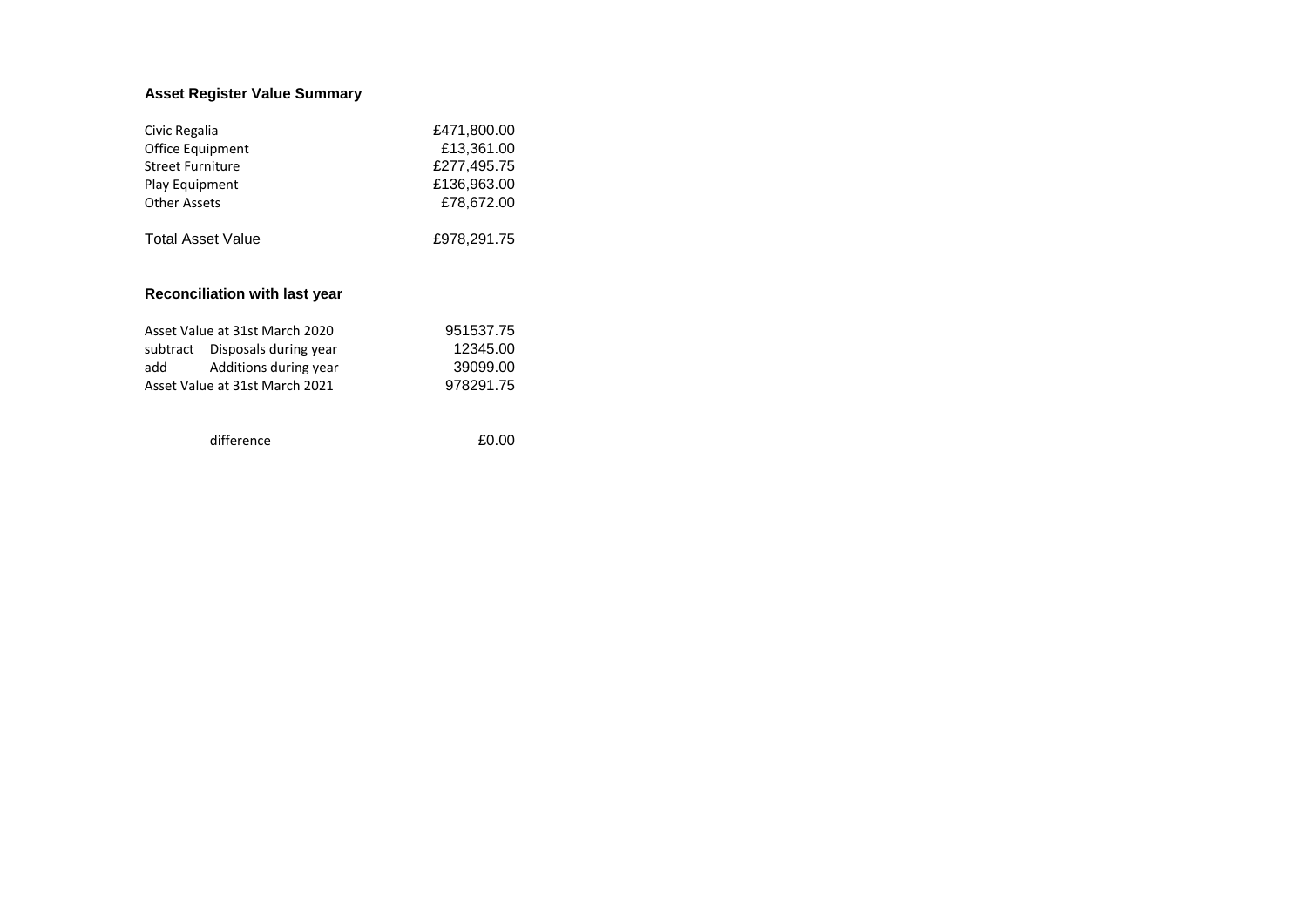## **Asset Register Value Summary**

| Civic Regalia            |                                | £471,800.00 |
|--------------------------|--------------------------------|-------------|
| Office Equipment         |                                | £13,361.00  |
| <b>Street Furniture</b>  |                                | £277,495.75 |
| Play Equipment           |                                | £136,963.00 |
| <b>Other Assets</b>      |                                | £78,672.00  |
| <b>Total Asset Value</b> |                                | £978,291.75 |
|                          | Reconciliation with last year  |             |
|                          | Asset Value at 31st March 2020 | 951537.75   |
|                          | subtract Disposals during year | 12345.00    |
| add                      | Additions during year          | 39099.00    |
|                          | Asset Value at 31st March 2021 | 978291.75   |
|                          | difference                     | £0.00       |
|                          |                                |             |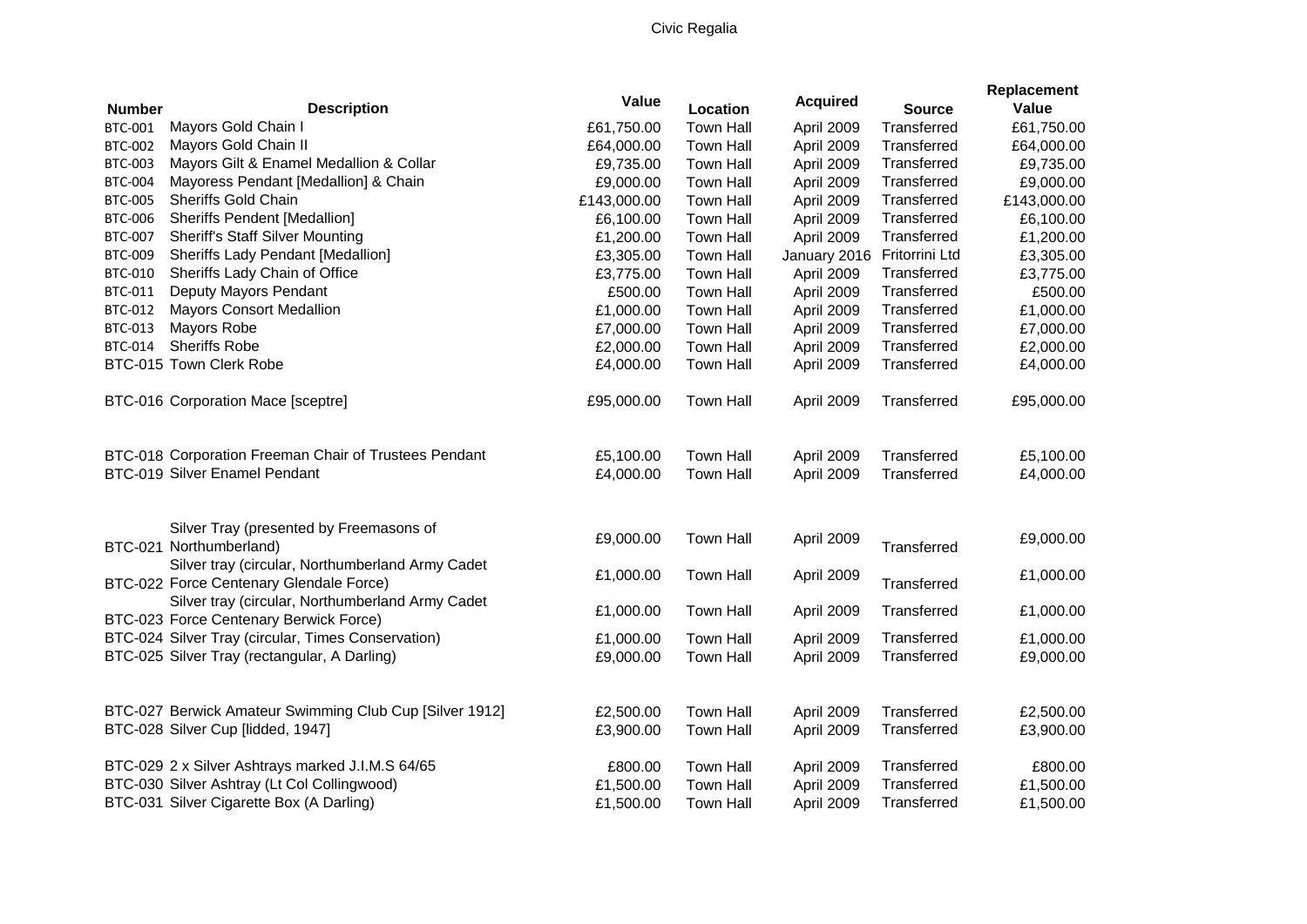## Civic Regalia

| <b>Number</b>  | <b>Description</b>                                                                                                     | Value                  | Location                             | <b>Acquired</b>          | <b>Source</b>              | Replacement<br>Value   |
|----------------|------------------------------------------------------------------------------------------------------------------------|------------------------|--------------------------------------|--------------------------|----------------------------|------------------------|
| <b>BTC-001</b> | Mayors Gold Chain I                                                                                                    | £61,750.00             | <b>Town Hall</b>                     | April 2009               | Transferred                | £61,750.00             |
| <b>BTC-002</b> | Mayors Gold Chain II                                                                                                   | £64,000.00             | <b>Town Hall</b>                     | April 2009               | Transferred                | £64,000.00             |
| <b>BTC-003</b> | Mayors Gilt & Enamel Medallion & Collar                                                                                | £9,735.00              | <b>Town Hall</b>                     | April 2009               | Transferred                | £9,735.00              |
| <b>BTC-004</b> | Mayoress Pendant [Medallion] & Chain                                                                                   | £9,000.00              | <b>Town Hall</b>                     | April 2009               | Transferred                | £9,000.00              |
| <b>BTC-005</b> | <b>Sheriffs Gold Chain</b>                                                                                             | £143,000.00            | <b>Town Hall</b>                     | April 2009               | Transferred                | £143,000.00            |
| <b>BTC-006</b> | <b>Sheriffs Pendent [Medallion]</b>                                                                                    | £6,100.00              | <b>Town Hall</b>                     | April 2009               | Transferred                | £6,100.00              |
| <b>BTC-007</b> | <b>Sheriff's Staff Silver Mounting</b>                                                                                 | £1,200.00              | <b>Town Hall</b>                     | April 2009               | Transferred                | £1,200.00              |
| <b>BTC-009</b> | Sheriffs Lady Pendant [Medallion]                                                                                      | £3,305.00              | <b>Town Hall</b>                     | January 2016             | Fritorrini Ltd             | £3,305.00              |
| <b>BTC-010</b> | Sheriffs Lady Chain of Office                                                                                          | £3,775.00              | <b>Town Hall</b>                     | April 2009               | Transferred                | £3,775.00              |
| <b>BTC-011</b> | Deputy Mayors Pendant                                                                                                  | £500.00                | <b>Town Hall</b>                     | April 2009               | Transferred                | £500.00                |
| <b>BTC-012</b> | <b>Mayors Consort Medallion</b>                                                                                        | £1,000.00              | <b>Town Hall</b>                     | April 2009               | Transferred                | £1,000.00              |
| <b>BTC-013</b> | Mayors Robe                                                                                                            | £7,000.00              | <b>Town Hall</b>                     | April 2009               | Transferred                | £7,000.00              |
| BTC-014        | <b>Sheriffs Robe</b>                                                                                                   | £2,000.00              | <b>Town Hall</b>                     | April 2009               | Transferred                | £2,000.00              |
|                | BTC-015 Town Clerk Robe                                                                                                | £4,000.00              | <b>Town Hall</b>                     | April 2009               | Transferred                | £4,000.00              |
|                | BTC-016 Corporation Mace [sceptre]                                                                                     | £95,000.00             | <b>Town Hall</b>                     | April 2009               | Transferred                | £95,000.00             |
|                | BTC-018 Corporation Freeman Chair of Trustees Pendant                                                                  | £5,100.00              | <b>Town Hall</b>                     | April 2009               | Transferred                | £5,100.00              |
|                | BTC-019 Silver Enamel Pendant                                                                                          | £4,000.00              | <b>Town Hall</b>                     | April 2009               | Transferred                | £4,000.00              |
|                | Silver Tray (presented by Freemasons of<br>BTC-021 Northumberland)<br>Silver tray (circular, Northumberland Army Cadet | £9,000.00              | <b>Town Hall</b>                     | April 2009               | Transferred                | £9,000.00              |
|                | BTC-022 Force Centenary Glendale Force)                                                                                | £1,000.00              | <b>Town Hall</b>                     | April 2009               | Transferred                | £1,000.00              |
|                | Silver tray (circular, Northumberland Army Cadet<br>BTC-023 Force Centenary Berwick Force)                             | £1,000.00              | <b>Town Hall</b>                     | April 2009               | Transferred                | £1,000.00              |
|                | BTC-024 Silver Tray (circular, Times Conservation)                                                                     | £1,000.00              | <b>Town Hall</b>                     | April 2009               | Transferred                | £1,000.00              |
|                | BTC-025 Silver Tray (rectangular, A Darling)                                                                           | £9,000.00              | <b>Town Hall</b>                     | April 2009               | Transferred                | £9,000.00              |
|                | BTC-027 Berwick Amateur Swimming Club Cup [Silver 1912]<br>BTC-028 Silver Cup [lidded, 1947]                           | £2,500.00<br>£3,900.00 | <b>Town Hall</b><br><b>Town Hall</b> | April 2009<br>April 2009 | Transferred<br>Transferred | £2,500.00<br>£3,900.00 |
|                | BTC-029 2 x Silver Ashtrays marked J.I.M.S 64/65                                                                       | £800.00                | <b>Town Hall</b>                     | April 2009               | Transferred                | £800.00                |
|                | BTC-030 Silver Ashtray (Lt Col Collingwood)                                                                            | £1,500.00              | <b>Town Hall</b>                     | April 2009               | Transferred                | £1,500.00              |
|                | BTC-031 Silver Cigarette Box (A Darling)                                                                               | £1,500.00              | <b>Town Hall</b>                     | April 2009               | Transferred                | £1,500.00              |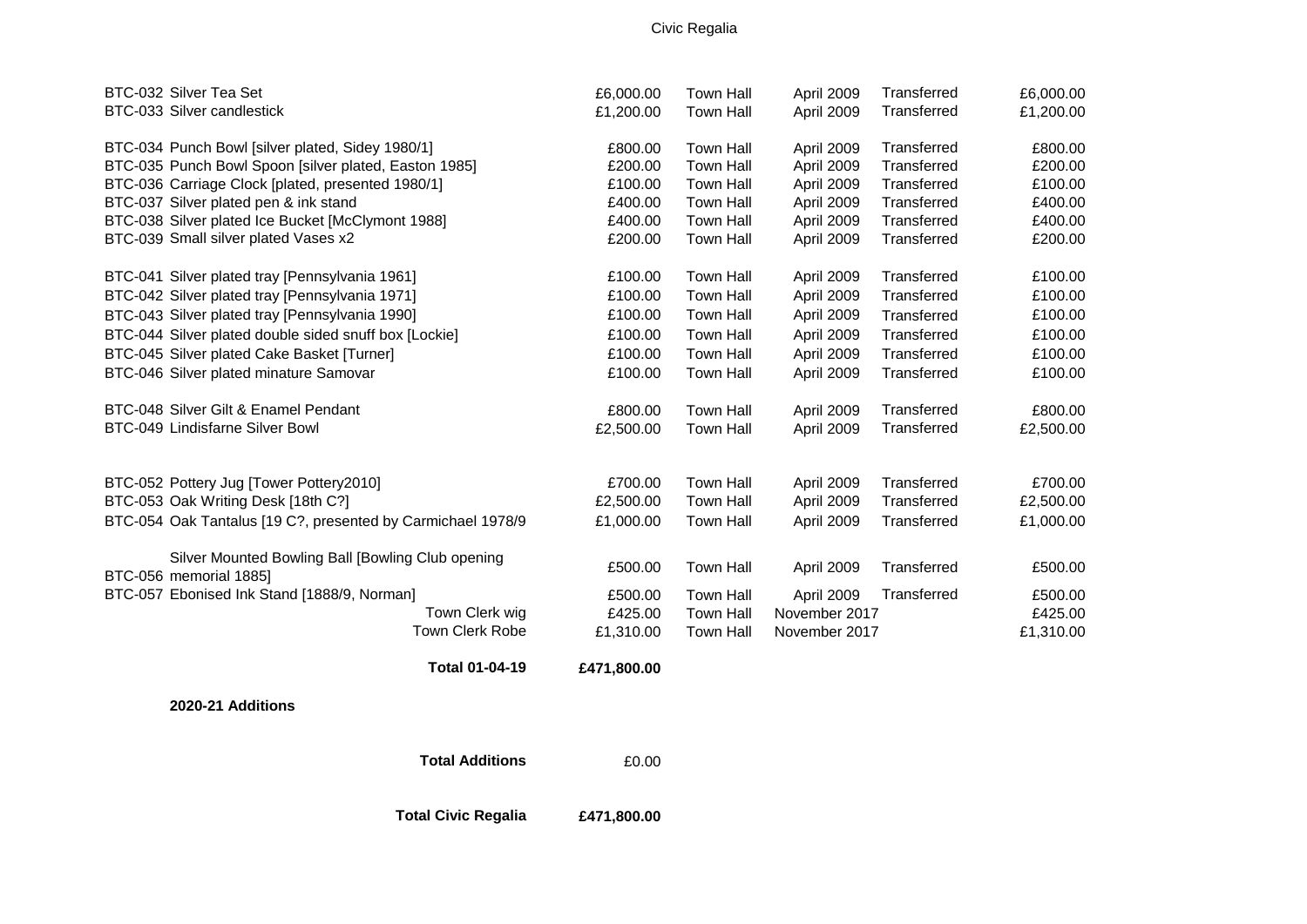## Civic Regalia

| BTC-032 Silver Tea Set                                                      | £6,000.00   | <b>Town Hall</b> | April 2009    | Transferred | £6,000.00 |
|-----------------------------------------------------------------------------|-------------|------------------|---------------|-------------|-----------|
| BTC-033 Silver candlestick                                                  | £1,200.00   | <b>Town Hall</b> | April 2009    | Transferred | £1,200.00 |
| BTC-034 Punch Bowl [silver plated, Sidey 1980/1]                            | £800.00     | <b>Town Hall</b> | April 2009    | Transferred | £800.00   |
| BTC-035 Punch Bowl Spoon [silver plated, Easton 1985]                       | £200.00     | <b>Town Hall</b> | April 2009    | Transferred | £200.00   |
| BTC-036 Carriage Clock [plated, presented 1980/1]                           | £100.00     | <b>Town Hall</b> | April 2009    | Transferred | £100.00   |
| BTC-037 Silver plated pen & ink stand                                       | £400.00     | <b>Town Hall</b> | April 2009    | Transferred | £400.00   |
| BTC-038 Silver plated Ice Bucket [McClymont 1988]                           | £400.00     | <b>Town Hall</b> | April 2009    | Transferred | £400.00   |
| BTC-039 Small silver plated Vases x2                                        | £200.00     | <b>Town Hall</b> | April 2009    | Transferred | £200.00   |
| BTC-041 Silver plated tray [Pennsylvania 1961]                              | £100.00     | <b>Town Hall</b> | April 2009    | Transferred | £100.00   |
| BTC-042 Silver plated tray [Pennsylvania 1971]                              | £100.00     | <b>Town Hall</b> | April 2009    | Transferred | £100.00   |
| BTC-043 Silver plated tray [Pennsylvania 1990]                              | £100.00     | <b>Town Hall</b> | April 2009    | Transferred | £100.00   |
| BTC-044 Silver plated double sided snuff box [Lockie]                       | £100.00     | <b>Town Hall</b> | April 2009    | Transferred | £100.00   |
| BTC-045 Silver plated Cake Basket [Turner]                                  | £100.00     | <b>Town Hall</b> | April 2009    | Transferred | £100.00   |
| BTC-046 Silver plated minature Samovar                                      | £100.00     | <b>Town Hall</b> | April 2009    | Transferred | £100.00   |
| BTC-048 Silver Gilt & Enamel Pendant                                        | £800.00     | <b>Town Hall</b> | April 2009    | Transferred | £800.00   |
| BTC-049 Lindisfarne Silver Bowl                                             | £2,500.00   | <b>Town Hall</b> | April 2009    | Transferred | £2,500.00 |
|                                                                             |             |                  |               |             |           |
| BTC-052 Pottery Jug [Tower Pottery2010]                                     | £700.00     | <b>Town Hall</b> | April 2009    | Transferred | £700.00   |
| BTC-053 Oak Writing Desk [18th C?]                                          | £2,500.00   | <b>Town Hall</b> | April 2009    | Transferred | £2,500.00 |
| BTC-054 Oak Tantalus [19 C?, presented by Carmichael 1978/9                 | £1,000.00   | <b>Town Hall</b> | April 2009    | Transferred | £1,000.00 |
| Silver Mounted Bowling Ball [Bowling Club opening<br>BTC-056 memorial 1885] | £500.00     | <b>Town Hall</b> | April 2009    | Transferred | £500.00   |
| BTC-057 Ebonised Ink Stand [1888/9, Norman]                                 | £500.00     | <b>Town Hall</b> | April 2009    | Transferred | £500.00   |
| Town Clerk wig                                                              | £425.00     | <b>Town Hall</b> | November 2017 |             | £425.00   |
| <b>Town Clerk Robe</b>                                                      | £1,310.00   | <b>Town Hall</b> | November 2017 |             | £1,310.00 |
| <b>Total 01-04-19</b>                                                       | £471,800.00 |                  |               |             |           |
| 2020-21 Additions                                                           |             |                  |               |             |           |
| <b>Total Additions</b>                                                      | £0.00       |                  |               |             |           |

**Total Civic Regalia £471,800.00**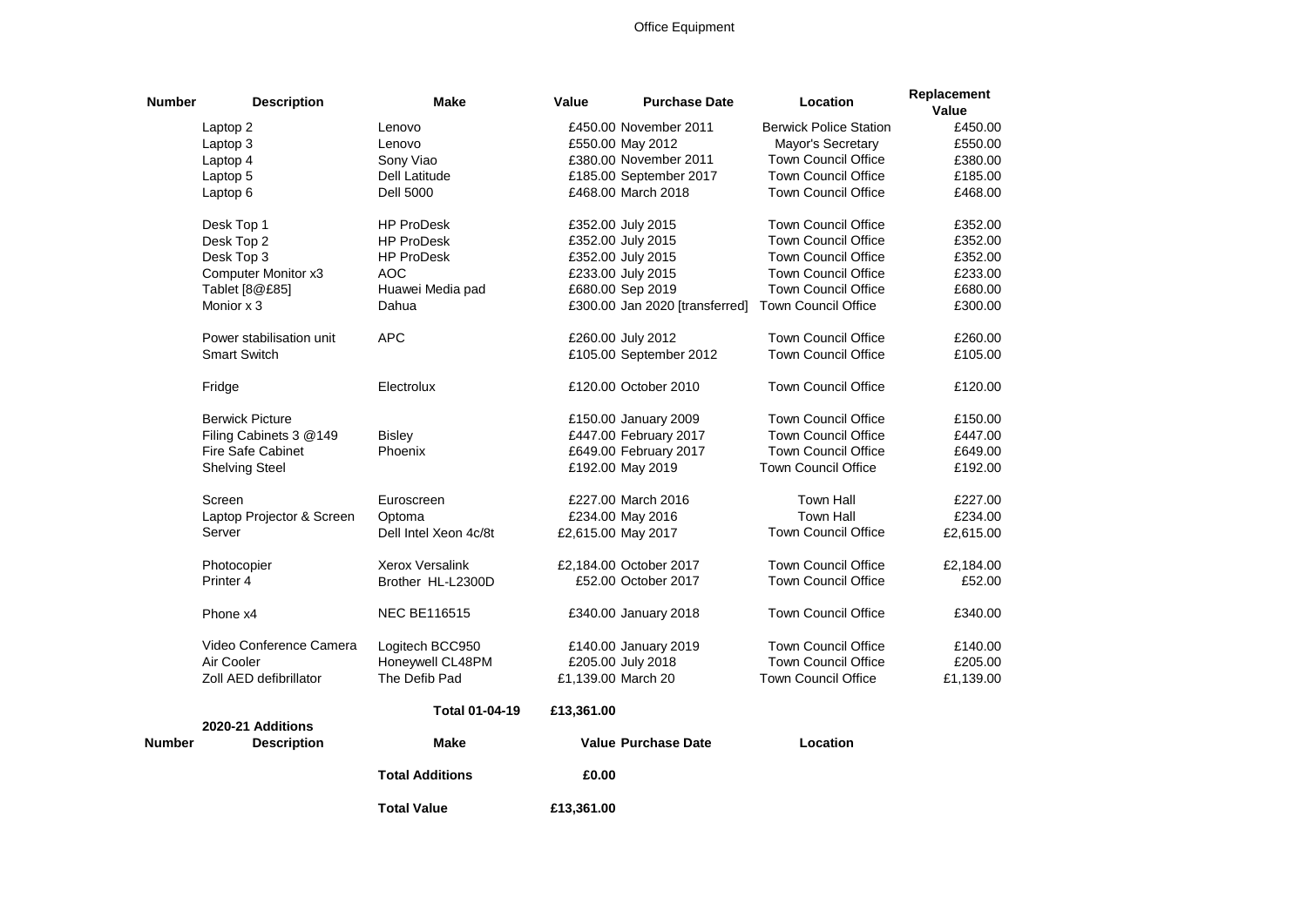#### Office Equipment

| <b>Number</b> | <b>Description</b>        | <b>Make</b>            | Value              | <b>Purchase Date</b>           | Location                      | Replacement |
|---------------|---------------------------|------------------------|--------------------|--------------------------------|-------------------------------|-------------|
|               |                           |                        |                    |                                |                               | Value       |
|               | Laptop 2                  | Lenovo                 |                    | £450.00 November 2011          | <b>Berwick Police Station</b> | £450.00     |
|               | Laptop 3                  | Lenovo                 |                    | £550.00 May 2012               | Mayor's Secretary             | £550.00     |
|               | Laptop 4                  | Sony Viao              |                    | £380.00 November 2011          | <b>Town Council Office</b>    | £380.00     |
|               | Laptop 5                  | <b>Dell Latitude</b>   |                    | £185.00 September 2017         | <b>Town Council Office</b>    | £185.00     |
|               | Laptop 6                  | <b>Dell 5000</b>       |                    | £468.00 March 2018             | <b>Town Council Office</b>    | £468.00     |
|               | Desk Top 1                | <b>HP ProDesk</b>      |                    | £352.00 July 2015              | <b>Town Council Office</b>    | £352.00     |
|               | Desk Top 2                | <b>HP ProDesk</b>      |                    | £352.00 July 2015              | <b>Town Council Office</b>    | £352.00     |
|               | Desk Top 3                | <b>HP ProDesk</b>      |                    | £352.00 July 2015              | Town Council Office           | £352.00     |
|               | Computer Monitor x3       | <b>AOC</b>             |                    | £233.00 July 2015              | <b>Town Council Office</b>    | £233.00     |
|               | Tablet [8@£85]            | Huawei Media pad       |                    | £680.00 Sep 2019               | <b>Town Council Office</b>    | £680.00     |
|               | Monior x 3                | Dahua                  |                    | £300.00 Jan 2020 [transferred] | <b>Town Council Office</b>    | £300.00     |
|               | Power stabilisation unit  | <b>APC</b>             |                    | £260.00 July 2012              | <b>Town Council Office</b>    | £260.00     |
|               | <b>Smart Switch</b>       |                        |                    | £105.00 September 2012         | <b>Town Council Office</b>    | £105.00     |
|               | Fridge                    | Electrolux             |                    | £120.00 October 2010           | <b>Town Council Office</b>    | £120.00     |
|               | <b>Berwick Picture</b>    |                        |                    | £150.00 January 2009           | <b>Town Council Office</b>    | £150.00     |
|               | Filing Cabinets 3 @149    | <b>Bisley</b>          |                    | £447.00 February 2017          | Town Council Office           | £447.00     |
|               | Fire Safe Cabinet         | Phoenix                |                    | £649.00 February 2017          | <b>Town Council Office</b>    | £649.00     |
|               | <b>Shelving Steel</b>     |                        |                    | £192.00 May 2019               | <b>Town Council Office</b>    | £192.00     |
|               | Screen                    | Euroscreen             |                    | £227.00 March 2016             | <b>Town Hall</b>              | £227.00     |
|               | Laptop Projector & Screen | Optoma                 |                    | £234.00 May 2016               | <b>Town Hall</b>              | £234.00     |
|               | Server                    | Dell Intel Xeon 4c/8t  | £2,615.00 May 2017 |                                | <b>Town Council Office</b>    | £2,615.00   |
|               | Photocopier               | <b>Xerox Versalink</b> |                    | £2,184.00 October 2017         | <b>Town Council Office</b>    | £2,184.00   |
|               | Printer <sub>4</sub>      | Brother HL-L2300D      |                    | £52.00 October 2017            | <b>Town Council Office</b>    | £52.00      |
|               | Phone x4                  | <b>NEC BE116515</b>    |                    | £340.00 January 2018           | <b>Town Council Office</b>    | £340.00     |
|               | Video Conference Camera   | Logitech BCC950        |                    | £140.00 January 2019           | <b>Town Council Office</b>    | £140.00     |
|               | Air Cooler                | Honeywell CL48PM       |                    | £205.00 July 2018              | <b>Town Council Office</b>    | £205.00     |
|               | Zoll AED defibrillator    | The Defib Pad          | £1,139.00 March 20 |                                | <b>Town Council Office</b>    | £1,139.00   |
|               | 2020-21 Additions         | <b>Total 01-04-19</b>  | £13,361.00         |                                |                               |             |
| Number        | <b>Description</b>        | <b>Make</b>            |                    | <b>Value Purchase Date</b>     | Location                      |             |
|               |                           | <b>Total Additions</b> | £0.00              |                                |                               |             |
|               |                           | <b>Total Value</b>     | £13,361.00         |                                |                               |             |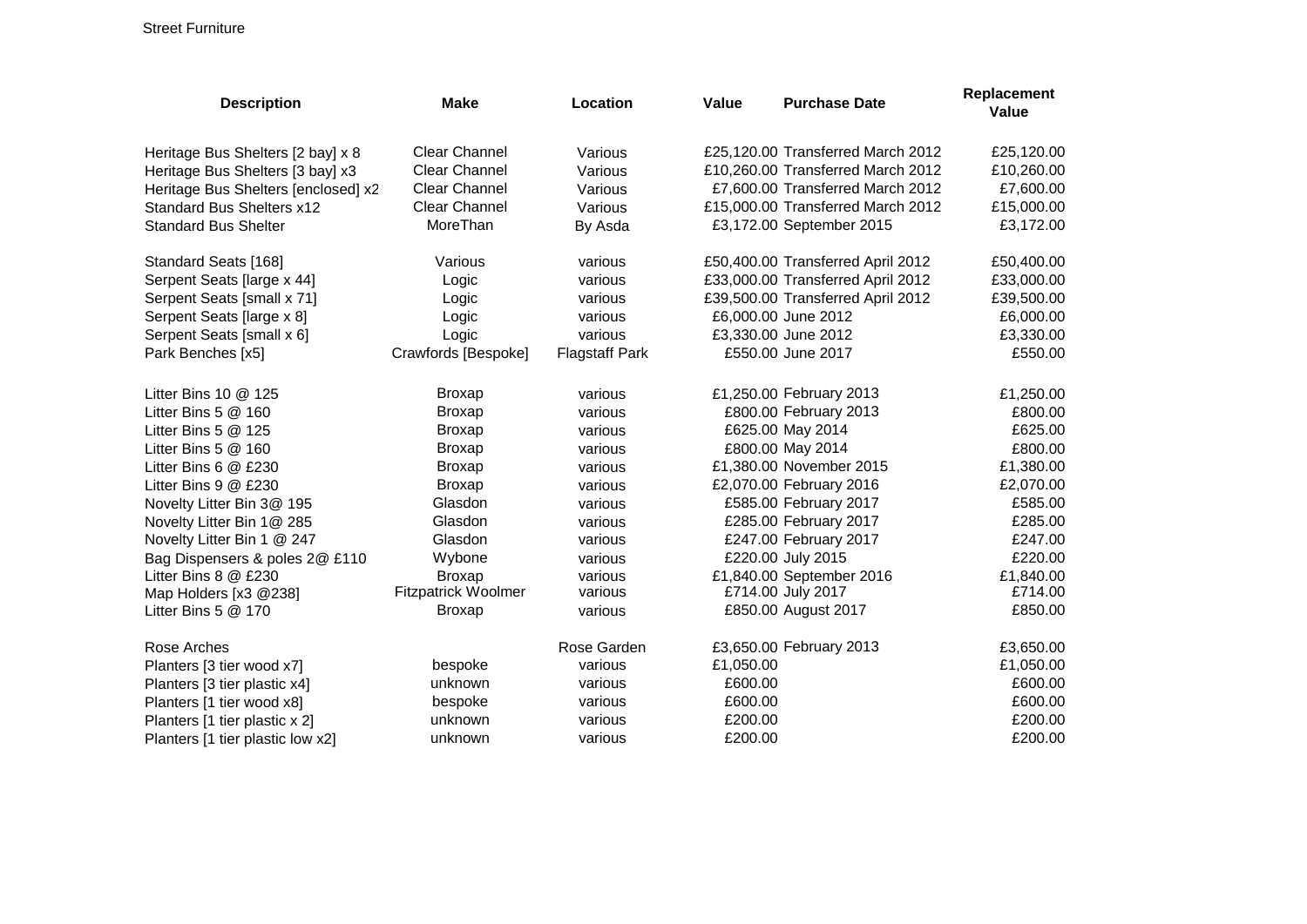### Street Furniture

| <b>Description</b>                  | <b>Make</b>                | Location              | Value     | <b>Purchase Date</b>              | Replacement<br>Value |
|-------------------------------------|----------------------------|-----------------------|-----------|-----------------------------------|----------------------|
| Heritage Bus Shelters [2 bay] x 8   | Clear Channel              | Various               |           | £25,120.00 Transferred March 2012 | £25,120.00           |
| Heritage Bus Shelters [3 bay] x3    | <b>Clear Channel</b>       | Various               |           | £10,260.00 Transferred March 2012 | £10,260.00           |
| Heritage Bus Shelters [enclosed] x2 | <b>Clear Channel</b>       | Various               |           | £7,600.00 Transferred March 2012  | £7,600.00            |
| <b>Standard Bus Shelters x12</b>    | <b>Clear Channel</b>       | Various               |           | £15,000.00 Transferred March 2012 | £15,000.00           |
| <b>Standard Bus Shelter</b>         | MoreThan                   | By Asda               |           | £3,172.00 September 2015          | £3,172.00            |
| Standard Seats [168]                | Various                    | various               |           | £50,400.00 Transferred April 2012 | £50,400.00           |
| Serpent Seats [large x 44]          | Logic                      | various               |           | £33,000.00 Transferred April 2012 | £33,000.00           |
| Serpent Seats [small x 71]          | Logic                      | various               |           | £39,500.00 Transferred April 2012 | £39,500.00           |
| Serpent Seats [large x 8]           | Logic                      | various               |           | £6,000.00 June 2012               | £6,000.00            |
| Serpent Seats [small x 6]           | Logic                      | various               |           | £3,330.00 June 2012               | £3,330.00            |
| Park Benches [x5]                   | Crawfords [Bespoke]        | <b>Flagstaff Park</b> |           | £550.00 June 2017                 | £550.00              |
| Litter Bins 10 $@$ 125              | <b>Broxap</b>              | various               |           | £1,250.00 February 2013           | £1,250.00            |
| Litter Bins 5 @ 160                 | <b>Broxap</b>              | various               |           | £800.00 February 2013             | £800.00              |
| Litter Bins 5 @ 125                 | <b>Broxap</b>              | various               |           | £625.00 May 2014                  | £625.00              |
| Litter Bins 5 @ 160                 | <b>Broxap</b>              | various               |           | £800.00 May 2014                  | £800.00              |
| Litter Bins 6 @ £230                | <b>Broxap</b>              | various               |           | £1,380.00 November 2015           | £1,380.00            |
| Litter Bins 9 @ £230                | <b>Broxap</b>              | various               |           | £2,070.00 February 2016           | £2,070.00            |
| Novelty Litter Bin 3@ 195           | Glasdon                    | various               |           | £585.00 February 2017             | £585.00              |
| Novelty Litter Bin 1@ 285           | Glasdon                    | various               |           | £285.00 February 2017             | £285.00              |
| Novelty Litter Bin 1 @ 247          | Glasdon                    | various               |           | £247.00 February 2017             | £247.00              |
| Bag Dispensers & poles 2@ £110      | Wybone                     | various               |           | £220.00 July 2015                 | £220.00              |
| Litter Bins 8 @ £230                | <b>Broxap</b>              | various               |           | £1,840.00 September 2016          | £1,840.00            |
| Map Holders [x3 @238]               | <b>Fitzpatrick Woolmer</b> | various               |           | £714.00 July 2017                 | £714.00              |
| Litter Bins 5 @ 170                 | <b>Broxap</b>              | various               |           | £850.00 August 2017               | £850.00              |
| Rose Arches                         |                            | Rose Garden           |           | £3,650.00 February 2013           | £3,650.00            |
| Planters [3 tier wood x7]           | bespoke                    | various               | £1,050.00 |                                   | £1,050.00            |
| Planters [3 tier plastic x4]        | unknown                    | various               | £600.00   |                                   | £600.00              |
| Planters [1 tier wood x8]           | bespoke                    | various               | £600.00   |                                   | £600.00              |
| Planters [1 tier plastic x 2]       | unknown                    | various               | £200.00   |                                   | £200.00              |
| Planters [1 tier plastic low x2]    | unknown                    | various               | £200.00   |                                   | £200.00              |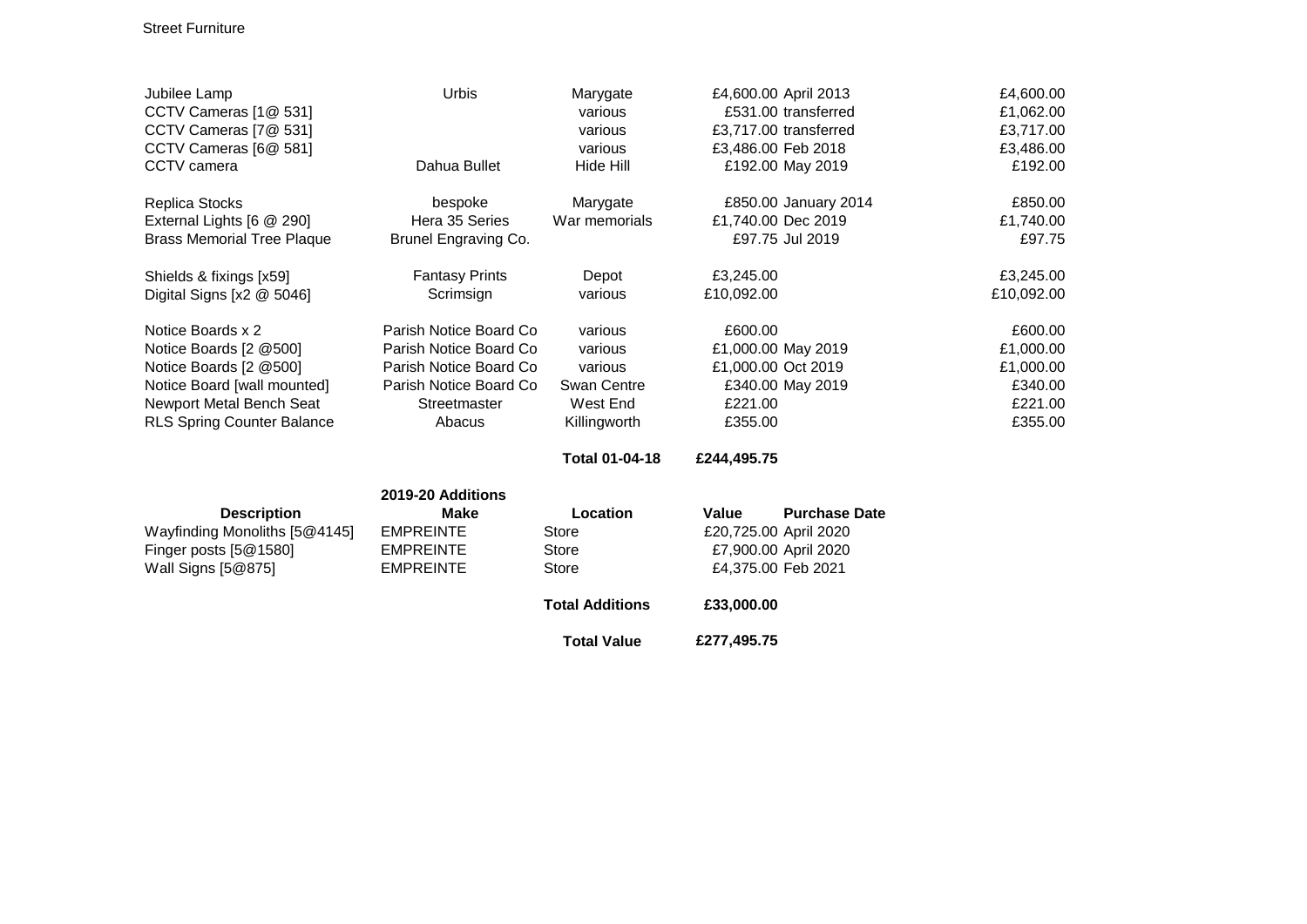### Street Furniture

| Jubilee Lamp                      | Urbis                  | Marygate               |             | £4,600.00 April 2013  | £4,600.00  |
|-----------------------------------|------------------------|------------------------|-------------|-----------------------|------------|
| CCTV Cameras [1@ 531]             |                        | various                |             | £531.00 transferred   | £1,062.00  |
| CCTV Cameras [7@ 531]             |                        | various                |             | £3,717.00 transferred | £3,717.00  |
| CCTV Cameras [6@ 581]             |                        | various                |             | £3,486.00 Feb 2018    | £3,486.00  |
| CCTV camera                       | Dahua Bullet           | Hide Hill              |             | £192.00 May 2019      | £192.00    |
| <b>Replica Stocks</b>             | bespoke                | Marygate               |             | £850.00 January 2014  | £850.00    |
| External Lights [6 @ 290]         | Hera 35 Series         | War memorials          |             | £1,740.00 Dec 2019    | £1,740.00  |
| <b>Brass Memorial Tree Plaque</b> | Brunel Engraving Co.   |                        |             | £97.75 Jul 2019       | £97.75     |
| Shields & fixings [x59]           | <b>Fantasy Prints</b>  | Depot                  | £3,245.00   |                       | £3,245.00  |
| Digital Signs [x2 @ 5046]         | Scrimsign              | various                | £10,092.00  |                       | £10,092.00 |
| Notice Boards x 2                 | Parish Notice Board Co | various                | £600.00     |                       | £600.00    |
| Notice Boards [2 @500]            | Parish Notice Board Co | various                |             | £1,000.00 May 2019    | £1,000.00  |
| Notice Boards [2 @500]            | Parish Notice Board Co | various                |             | £1,000.00 Oct 2019    | £1,000.00  |
| Notice Board [wall mounted]       | Parish Notice Board Co | Swan Centre            |             | £340.00 May 2019      | £340.00    |
| Newport Metal Bench Seat          | Streetmaster           | West End               | £221.00     |                       | £221.00    |
| <b>RLS Spring Counter Balance</b> | Abacus                 | Killingworth           | £355.00     |                       | £355.00    |
|                                   |                        | Total 01-04-18         | £244,495.75 |                       |            |
|                                   | 2019-20 Additions      |                        |             |                       |            |
| <b>Description</b>                | <b>Make</b>            | Location               | Value       | <b>Purchase Date</b>  |            |
| Wayfinding Monoliths [5@4145]     | <b>EMPREINTE</b>       | Store                  |             | £20,725.00 April 2020 |            |
| Finger posts [5@1580]             | <b>EMPREINTE</b>       | <b>Store</b>           |             | £7,900.00 April 2020  |            |
| Wall Signs [5@875]                | <b>EMPREINTE</b>       | <b>Store</b>           |             | £4,375.00 Feb 2021    |            |
|                                   |                        | <b>Total Additions</b> | £33,000.00  |                       |            |
|                                   |                        | <b>Total Value</b>     | £277,495.75 |                       |            |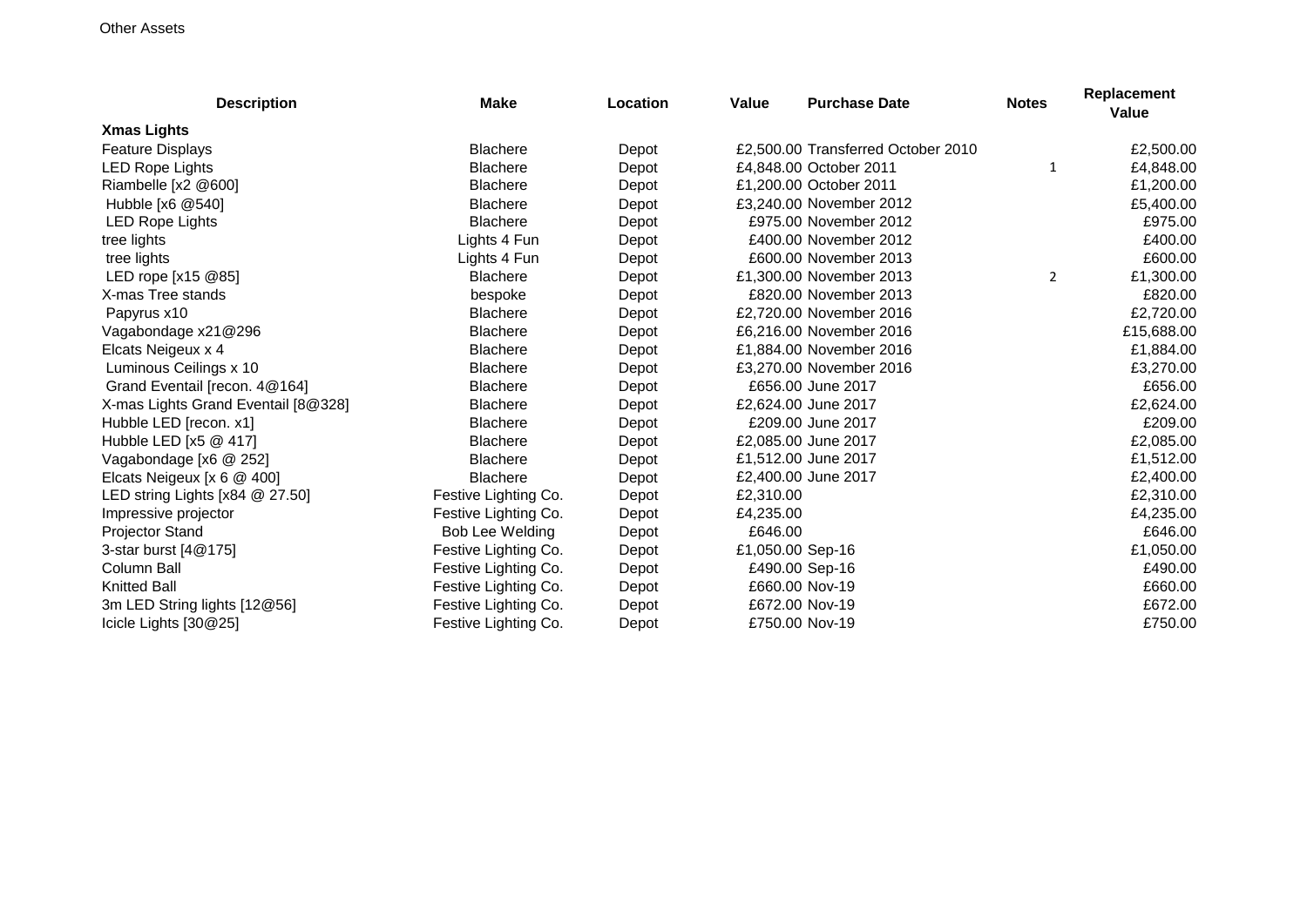#### Other Assets

| <b>Description</b>                  | <b>Make</b>          | Location | <b>Value</b>     | <b>Purchase Date</b>               | <b>Notes</b> | <b>Replacement</b><br>Value |
|-------------------------------------|----------------------|----------|------------------|------------------------------------|--------------|-----------------------------|
| <b>Xmas Lights</b>                  |                      |          |                  |                                    |              |                             |
| <b>Feature Displays</b>             | <b>Blachere</b>      | Depot    |                  | £2,500.00 Transferred October 2010 |              | £2,500.00                   |
| <b>LED Rope Lights</b>              | <b>Blachere</b>      | Depot    |                  | £4.848.00 October 2011             | 1            | £4,848.00                   |
| Riambelle [x2 @600]                 | <b>Blachere</b>      | Depot    |                  | £1,200.00 October 2011             |              | £1,200.00                   |
| Hubble [x6 @540]                    | <b>Blachere</b>      | Depot    |                  | £3,240.00 November 2012            |              | £5,400.00                   |
| LED Rope Lights                     | <b>Blachere</b>      | Depot    |                  | £975.00 November 2012              |              | £975.00                     |
| tree lights                         | Lights 4 Fun         | Depot    |                  | £400.00 November 2012              |              | £400.00                     |
| tree lights                         | Lights 4 Fun         | Depot    |                  | £600.00 November 2013              |              | £600.00                     |
| LED rope [x15 @85]                  | <b>Blachere</b>      | Depot    |                  | £1,300.00 November 2013            | 2            | £1,300.00                   |
| X-mas Tree stands                   | bespoke              | Depot    |                  | £820.00 November 2013              |              | £820.00                     |
| Papyrus x10                         | <b>Blachere</b>      | Depot    |                  | £2,720.00 November 2016            |              | £2,720.00                   |
| Vagabondage x21@296                 | <b>Blachere</b>      | Depot    |                  | £6,216.00 November 2016            |              | £15,688.00                  |
| Elcats Neigeux x 4                  | <b>Blachere</b>      | Depot    |                  | £1,884.00 November 2016            |              | £1,884.00                   |
| Luminous Ceilings x 10              | <b>Blachere</b>      | Depot    |                  | £3,270.00 November 2016            |              | £3,270.00                   |
| Grand Eventail [recon. 4@164]       | <b>Blachere</b>      | Depot    |                  | £656.00 June 2017                  |              | £656.00                     |
| X-mas Lights Grand Eventail [8@328] | <b>Blachere</b>      | Depot    |                  | £2,624.00 June 2017                |              | £2,624.00                   |
| Hubble LED [recon. x1]              | <b>Blachere</b>      | Depot    |                  | £209.00 June 2017                  |              | £209.00                     |
| Hubble LED [x5 @ 417]               | <b>Blachere</b>      | Depot    |                  | £2,085.00 June 2017                |              | £2,085.00                   |
| Vagabondage [x6 @ 252]              | <b>Blachere</b>      | Depot    |                  | £1,512.00 June 2017                |              | £1,512.00                   |
| Elcats Neigeux [x 6 @ 400]          | <b>Blachere</b>      | Depot    |                  | £2,400.00 June 2017                |              | £2,400.00                   |
| LED string Lights [x84 @ 27.50]     | Festive Lighting Co. | Depot    | £2,310.00        |                                    |              | £2,310.00                   |
| Impressive projector                | Festive Lighting Co. | Depot    | £4,235.00        |                                    |              | £4,235.00                   |
| <b>Projector Stand</b>              | Bob Lee Welding      | Depot    | £646.00          |                                    |              | £646.00                     |
| 3-star burst [4@175]                | Festive Lighting Co. | Depot    | £1,050.00 Sep-16 |                                    |              | £1,050.00                   |
| Column Ball                         | Festive Lighting Co. | Depot    | £490.00 Sep-16   |                                    |              | £490.00                     |
| <b>Knitted Ball</b>                 | Festive Lighting Co. | Depot    | £660.00 Nov-19   |                                    |              | £660.00                     |
| 3m LED String lights [12@56]        | Festive Lighting Co. | Depot    | £672.00 Nov-19   |                                    |              | £672.00                     |
| Icicle Lights [30@25]               | Festive Lighting Co. | Depot    | £750.00 Nov-19   |                                    |              | £750.00                     |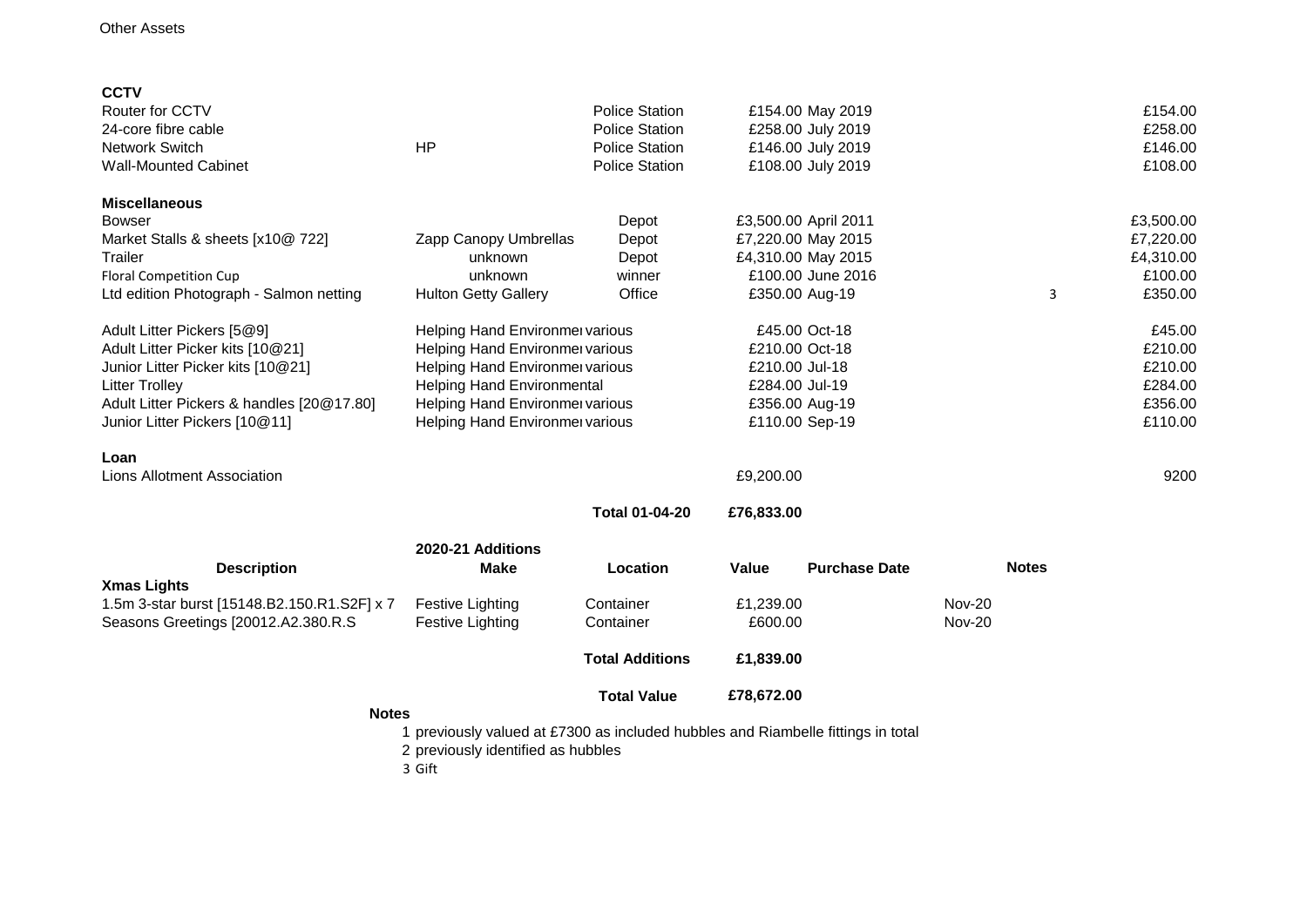|                                                                                    | 1 previously valued at £7300 as included hubbles and Riambelle fittings in total |                                                |                                  |                                            |                                |              |                        |
|------------------------------------------------------------------------------------|----------------------------------------------------------------------------------|------------------------------------------------|----------------------------------|--------------------------------------------|--------------------------------|--------------|------------------------|
| <b>Notes</b>                                                                       |                                                                                  | <b>Total Value</b>                             | £78,672.00                       |                                            |                                |              |                        |
|                                                                                    |                                                                                  | <b>Total Additions</b>                         | £1,839.00                        |                                            |                                |              |                        |
| 1.5m 3-star burst [15148.B2.150.R1.S2F] x 7<br>Seasons Greetings [20012.A2.380.R.S | Festive Lighting<br>Festive Lighting                                             | Container<br>Container                         | £1,239.00<br>£600.00             |                                            | <b>Nov-20</b><br><b>Nov-20</b> |              |                        |
| <b>Xmas Lights</b>                                                                 |                                                                                  |                                                |                                  |                                            |                                |              |                        |
| <b>Description</b>                                                                 | 2020-21 Additions<br><b>Make</b>                                                 | Location                                       | <b>Value</b>                     | <b>Purchase Date</b>                       |                                | <b>Notes</b> |                        |
|                                                                                    |                                                                                  | <b>Total 01-04-20</b>                          | £76,833.00                       |                                            |                                |              |                        |
| Loan<br><b>Lions Allotment Association</b>                                         |                                                                                  |                                                | £9,200.00                        |                                            |                                |              | 9200                   |
| Adult Litter Pickers & handles [20@17.80]<br>Junior Litter Pickers [10@11]         | Helping Hand Environmer various<br>Helping Hand Environmer various               |                                                | £356.00 Aug-19<br>£110.00 Sep-19 |                                            |                                |              | £356.00<br>£110.00     |
| Junior Litter Picker kits [10@21]<br><b>Litter Trolley</b>                         | Helping Hand Environmer various<br><b>Helping Hand Environmental</b>             |                                                | £210.00 Jul-18<br>£284.00 Jul-19 |                                            |                                |              | £210.00<br>£284.00     |
| Adult Litter Pickers [5@9]<br>Adult Litter Picker kits [10@21]                     | Helping Hand Environmer various<br>Helping Hand Environmer various               |                                                | £210.00 Oct-18                   | £45.00 Oct-18                              |                                |              | £45.00<br>£210.00      |
| <b>Floral Competition Cup</b><br>Ltd edition Photograph - Salmon netting           | unknown<br><b>Hulton Getty Gallery</b>                                           | winner<br>Office                               | £350.00 Aug-19                   | £100.00 June 2016                          |                                | 3            | £100.00<br>£350.00     |
| Trailer                                                                            | unknown                                                                          | Depot                                          |                                  | £4,310.00 May 2015                         |                                |              | £4,310.00              |
| <b>Miscellaneous</b><br><b>Bowser</b><br>Market Stalls & sheets [x10@ 722]         | Zapp Canopy Umbrellas                                                            | Depot<br>Depot                                 |                                  | £3,500.00 April 2011<br>£7,220.00 May 2015 |                                |              | £3,500.00<br>£7,220.00 |
| <b>Wall-Mounted Cabinet</b>                                                        |                                                                                  | <b>Police Station</b>                          |                                  | £108.00 July 2019                          |                                |              | £108.00                |
| 24-core fibre cable<br><b>Network Switch</b>                                       | HP                                                                               | <b>Police Station</b><br><b>Police Station</b> |                                  | £258.00 July 2019<br>£146.00 July 2019     |                                |              | £258.00<br>£146.00     |
| Router for CCTV                                                                    |                                                                                  | <b>Police Station</b>                          |                                  | £154.00 May 2019                           |                                |              | £154.00                |
| <b>CCTV</b>                                                                        |                                                                                  |                                                |                                  |                                            |                                |              |                        |

2 previously identified as hubbles

3 Gift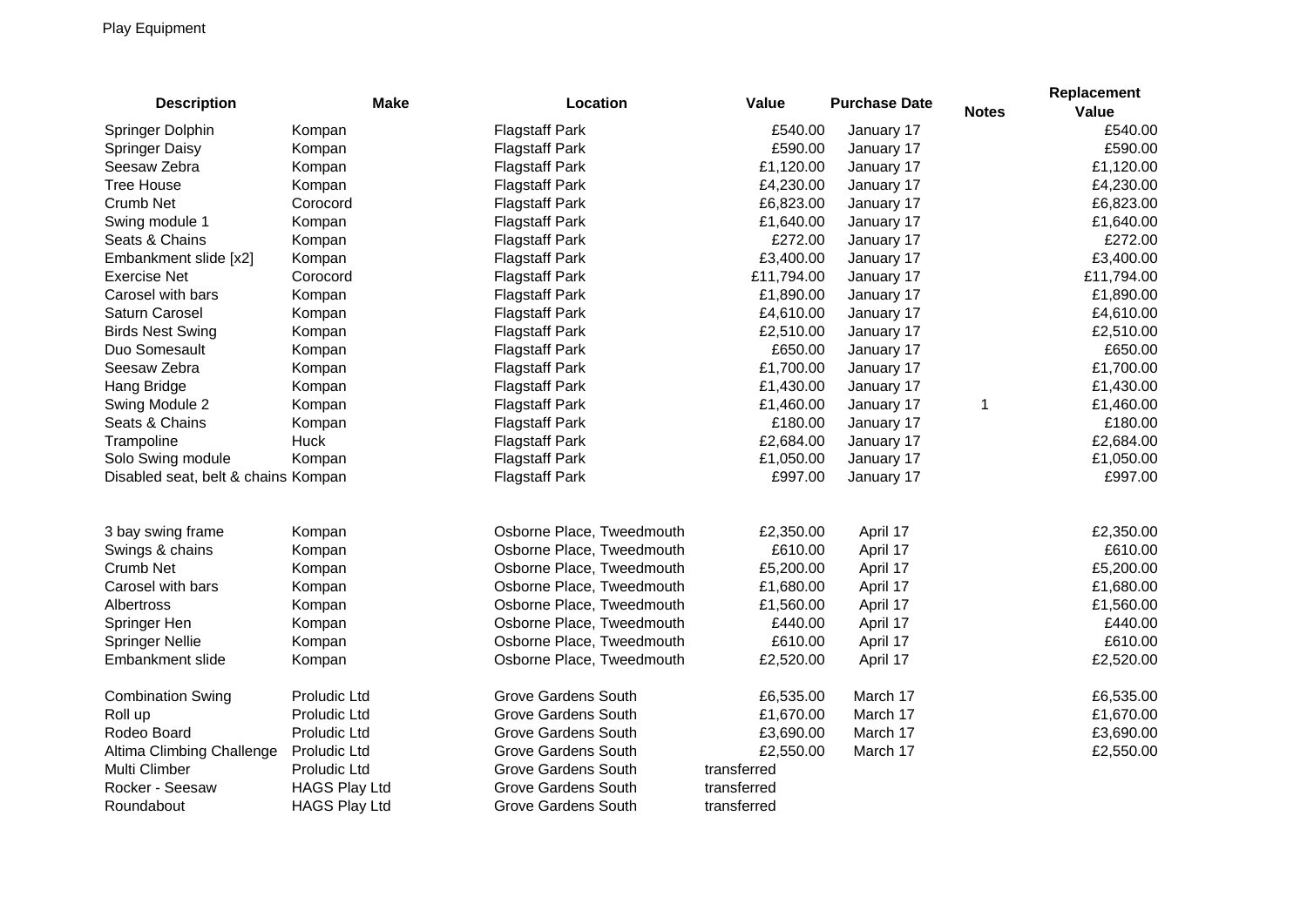| <b>Description</b>                  | <b>Make</b>          | Location                   | Value       | <b>Purchase Date</b> |              | Replacement |
|-------------------------------------|----------------------|----------------------------|-------------|----------------------|--------------|-------------|
|                                     |                      |                            |             |                      | <b>Notes</b> | Value       |
| Springer Dolphin                    | Kompan               | <b>Flagstaff Park</b>      | £540.00     | January 17           |              | £540.00     |
| <b>Springer Daisy</b>               | Kompan               | <b>Flagstaff Park</b>      | £590.00     | January 17           |              | £590.00     |
| Seesaw Zebra                        | Kompan               | <b>Flagstaff Park</b>      | £1,120.00   | January 17           |              | £1,120.00   |
| <b>Tree House</b>                   | Kompan               | <b>Flagstaff Park</b>      | £4,230.00   | January 17           |              | £4,230.00   |
| Crumb Net                           | Corocord             | <b>Flagstaff Park</b>      | £6,823.00   | January 17           |              | £6,823.00   |
| Swing module 1                      | Kompan               | <b>Flagstaff Park</b>      | £1,640.00   | January 17           |              | £1,640.00   |
| Seats & Chains                      | Kompan               | <b>Flagstaff Park</b>      | £272.00     | January 17           |              | £272.00     |
| Embankment slide [x2]               | Kompan               | <b>Flagstaff Park</b>      | £3,400.00   | January 17           |              | £3,400.00   |
| <b>Exercise Net</b>                 | Corocord             | <b>Flagstaff Park</b>      | £11,794.00  | January 17           |              | £11,794.00  |
| Carosel with bars                   | Kompan               | <b>Flagstaff Park</b>      | £1,890.00   | January 17           |              | £1,890.00   |
| Saturn Carosel                      | Kompan               | <b>Flagstaff Park</b>      | £4,610.00   | January 17           |              | £4,610.00   |
| <b>Birds Nest Swing</b>             | Kompan               | <b>Flagstaff Park</b>      | £2,510.00   | January 17           |              | £2,510.00   |
| Duo Somesault                       | Kompan               | <b>Flagstaff Park</b>      | £650.00     | January 17           |              | £650.00     |
| Seesaw Zebra                        | Kompan               | <b>Flagstaff Park</b>      | £1,700.00   | January 17           |              | £1,700.00   |
| Hang Bridge                         | Kompan               | <b>Flagstaff Park</b>      | £1,430.00   | January 17           |              | £1,430.00   |
| Swing Module 2                      | Kompan               | <b>Flagstaff Park</b>      | £1,460.00   | January 17           | 1            | £1,460.00   |
| Seats & Chains                      | Kompan               | <b>Flagstaff Park</b>      | £180.00     | January 17           |              | £180.00     |
| Trampoline                          | Huck                 | <b>Flagstaff Park</b>      | £2,684.00   | January 17           |              | £2,684.00   |
| Solo Swing module                   | Kompan               | <b>Flagstaff Park</b>      | £1,050.00   | January 17           |              | £1,050.00   |
| Disabled seat, belt & chains Kompan |                      | <b>Flagstaff Park</b>      | £997.00     | January 17           |              | £997.00     |
|                                     |                      |                            |             |                      |              |             |
|                                     |                      |                            |             |                      |              |             |
| 3 bay swing frame                   | Kompan               | Osborne Place, Tweedmouth  | £2,350.00   | April 17             |              | £2,350.00   |
| Swings & chains                     | Kompan               | Osborne Place, Tweedmouth  | £610.00     | April 17             |              | £610.00     |
| Crumb Net                           | Kompan               | Osborne Place, Tweedmouth  | £5,200.00   | April 17             |              | £5,200.00   |
| Carosel with bars                   | Kompan               | Osborne Place, Tweedmouth  | £1,680.00   | April 17             |              | £1,680.00   |
| Albertross                          | Kompan               | Osborne Place, Tweedmouth  | £1,560.00   | April 17             |              | £1,560.00   |
| Springer Hen                        | Kompan               | Osborne Place, Tweedmouth  | £440.00     | April 17             |              | £440.00     |
| <b>Springer Nellie</b>              | Kompan               | Osborne Place, Tweedmouth  | £610.00     | April 17             |              | £610.00     |
| Embankment slide                    | Kompan               | Osborne Place, Tweedmouth  | £2,520.00   | April 17             |              | £2,520.00   |
| <b>Combination Swing</b>            | Proludic Ltd         | <b>Grove Gardens South</b> | £6,535.00   | March 17             |              | £6,535.00   |
| Roll up                             | Proludic Ltd         | <b>Grove Gardens South</b> | £1,670.00   | March 17             |              | £1,670.00   |
| Rodeo Board                         | Proludic Ltd         | <b>Grove Gardens South</b> | £3,690.00   | March 17             |              | £3,690.00   |
| Altima Climbing Challenge           | Proludic Ltd         | <b>Grove Gardens South</b> | £2,550.00   | March 17             |              | £2,550.00   |
| Multi Climber                       | Proludic Ltd         | <b>Grove Gardens South</b> | transferred |                      |              |             |
| Rocker - Seesaw                     | <b>HAGS Play Ltd</b> | <b>Grove Gardens South</b> | transferred |                      |              |             |
| Roundabout                          | <b>HAGS Play Ltd</b> | <b>Grove Gardens South</b> | transferred |                      |              |             |
|                                     |                      |                            |             |                      |              |             |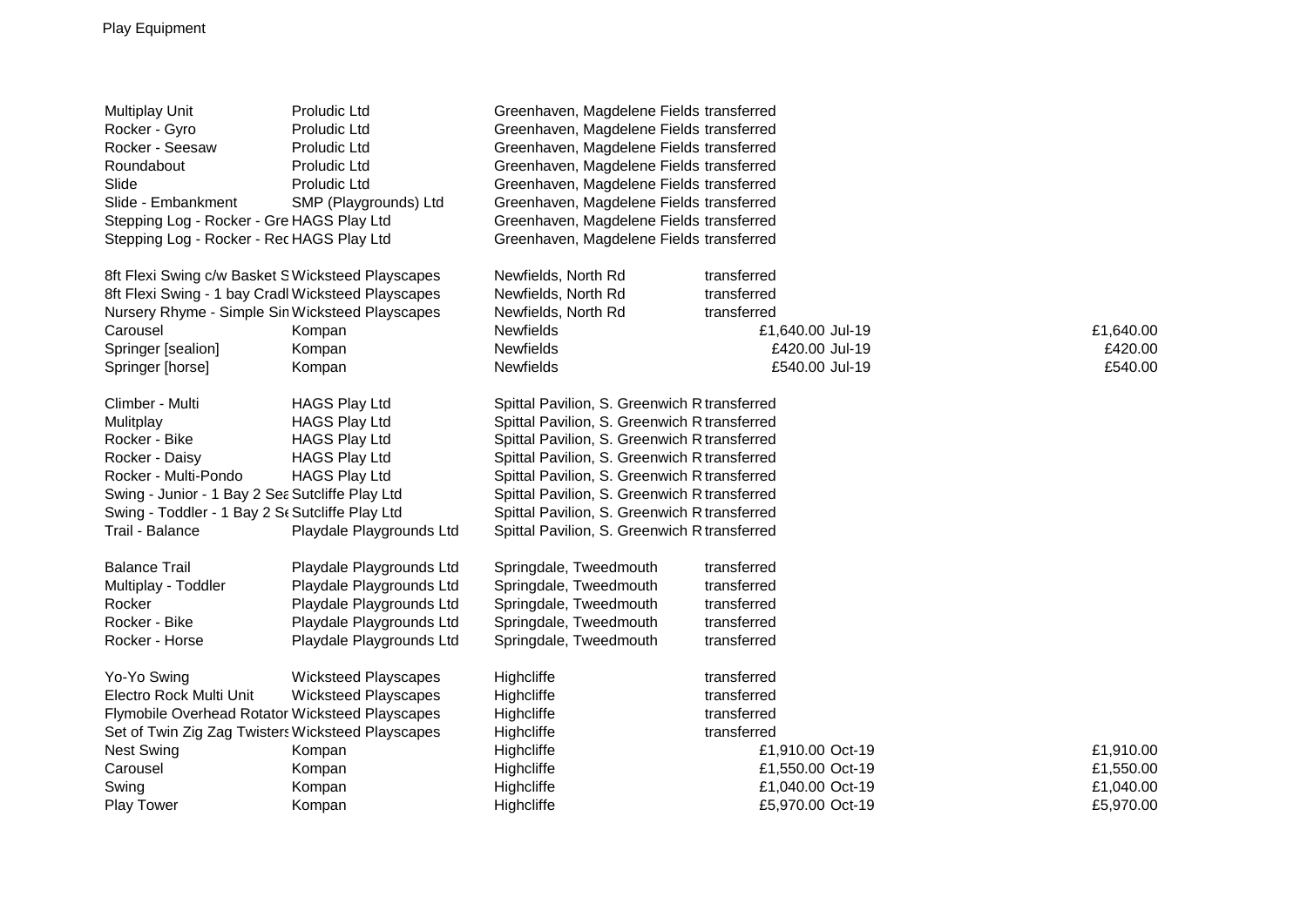| <b>Multiplay Unit</b>                              | Proludic Ltd                | Greenhaven, Magdelene Fields transferred     |                  |           |
|----------------------------------------------------|-----------------------------|----------------------------------------------|------------------|-----------|
| Rocker - Gyro                                      | Proludic Ltd                | Greenhaven, Magdelene Fields transferred     |                  |           |
| Rocker - Seesaw                                    | Proludic Ltd                | Greenhaven, Magdelene Fields transferred     |                  |           |
| Roundabout                                         | Proludic Ltd                | Greenhaven, Magdelene Fields transferred     |                  |           |
| Slide                                              | Proludic Ltd                | Greenhaven, Magdelene Fields transferred     |                  |           |
| Slide - Embankment                                 | SMP (Playgrounds) Ltd       | Greenhaven, Magdelene Fields transferred     |                  |           |
| Stepping Log - Rocker - Gre HAGS Play Ltd          |                             | Greenhaven, Magdelene Fields transferred     |                  |           |
| Stepping Log - Rocker - Rec HAGS Play Ltd          |                             | Greenhaven, Magdelene Fields transferred     |                  |           |
| 8ft Flexi Swing c/w Basket SWicksteed Playscapes   |                             | Newfields, North Rd                          | transferred      |           |
| 8ft Flexi Swing - 1 bay Cradl Wicksteed Playscapes |                             | Newfields, North Rd                          | transferred      |           |
| Nursery Rhyme - Simple Sin Wicksteed Playscapes    |                             | Newfields, North Rd                          | transferred      |           |
| Carousel                                           | Kompan                      | Newfields                                    | £1,640.00 Jul-19 | £1,640.00 |
| Springer [sealion]                                 | Kompan                      | Newfields                                    | £420.00 Jul-19   | £420.00   |
| Springer [horse]                                   | Kompan                      | <b>Newfields</b>                             | £540.00 Jul-19   | £540.00   |
| Climber - Multi                                    | <b>HAGS Play Ltd</b>        | Spittal Pavilion, S. Greenwich R transferred |                  |           |
| Mulitplay                                          | <b>HAGS Play Ltd</b>        | Spittal Pavilion, S. Greenwich R transferred |                  |           |
| Rocker - Bike                                      | <b>HAGS Play Ltd</b>        | Spittal Pavilion, S. Greenwich R transferred |                  |           |
| Rocker - Daisy                                     | <b>HAGS Play Ltd</b>        | Spittal Pavilion, S. Greenwich R transferred |                  |           |
| Rocker - Multi-Pondo                               | <b>HAGS Play Ltd</b>        | Spittal Pavilion, S. Greenwich R transferred |                  |           |
| Swing - Junior - 1 Bay 2 Sea Sutcliffe Play Ltd    |                             | Spittal Pavilion, S. Greenwich R transferred |                  |           |
| Swing - Toddler - 1 Bay 2 St Sutcliffe Play Ltd    |                             | Spittal Pavilion, S. Greenwich R transferred |                  |           |
| Trail - Balance                                    | Playdale Playgrounds Ltd    | Spittal Pavilion, S. Greenwich R transferred |                  |           |
| <b>Balance Trail</b>                               | Playdale Playgrounds Ltd    | Springdale, Tweedmouth                       | transferred      |           |
| Multiplay - Toddler                                | Playdale Playgrounds Ltd    | Springdale, Tweedmouth                       | transferred      |           |
| Rocker                                             | Playdale Playgrounds Ltd    | Springdale, Tweedmouth                       | transferred      |           |
| Rocker - Bike                                      | Playdale Playgrounds Ltd    | Springdale, Tweedmouth                       | transferred      |           |
| Rocker - Horse                                     | Playdale Playgrounds Ltd    | Springdale, Tweedmouth                       | transferred      |           |
| Yo-Yo Swing                                        | <b>Wicksteed Playscapes</b> | Highcliffe                                   | transferred      |           |
| Electro Rock Multi Unit                            | <b>Wicksteed Playscapes</b> | Highcliffe                                   | transferred      |           |
| Flymobile Overhead Rotator Wicksteed Playscapes    |                             | Highcliffe                                   | transferred      |           |
| Set of Twin Zig Zag Twisters Wicksteed Playscapes  |                             | Highcliffe                                   | transferred      |           |
| <b>Nest Swing</b>                                  | Kompan                      | Highcliffe                                   | £1,910.00 Oct-19 | £1,910.00 |
| Carousel                                           | Kompan                      | Highcliffe                                   | £1,550.00 Oct-19 | £1,550.00 |
| Swing                                              | Kompan                      | Highcliffe                                   | £1,040.00 Oct-19 | £1,040.00 |
| <b>Play Tower</b>                                  | Kompan                      | Highcliffe                                   | £5,970.00 Oct-19 | £5,970.00 |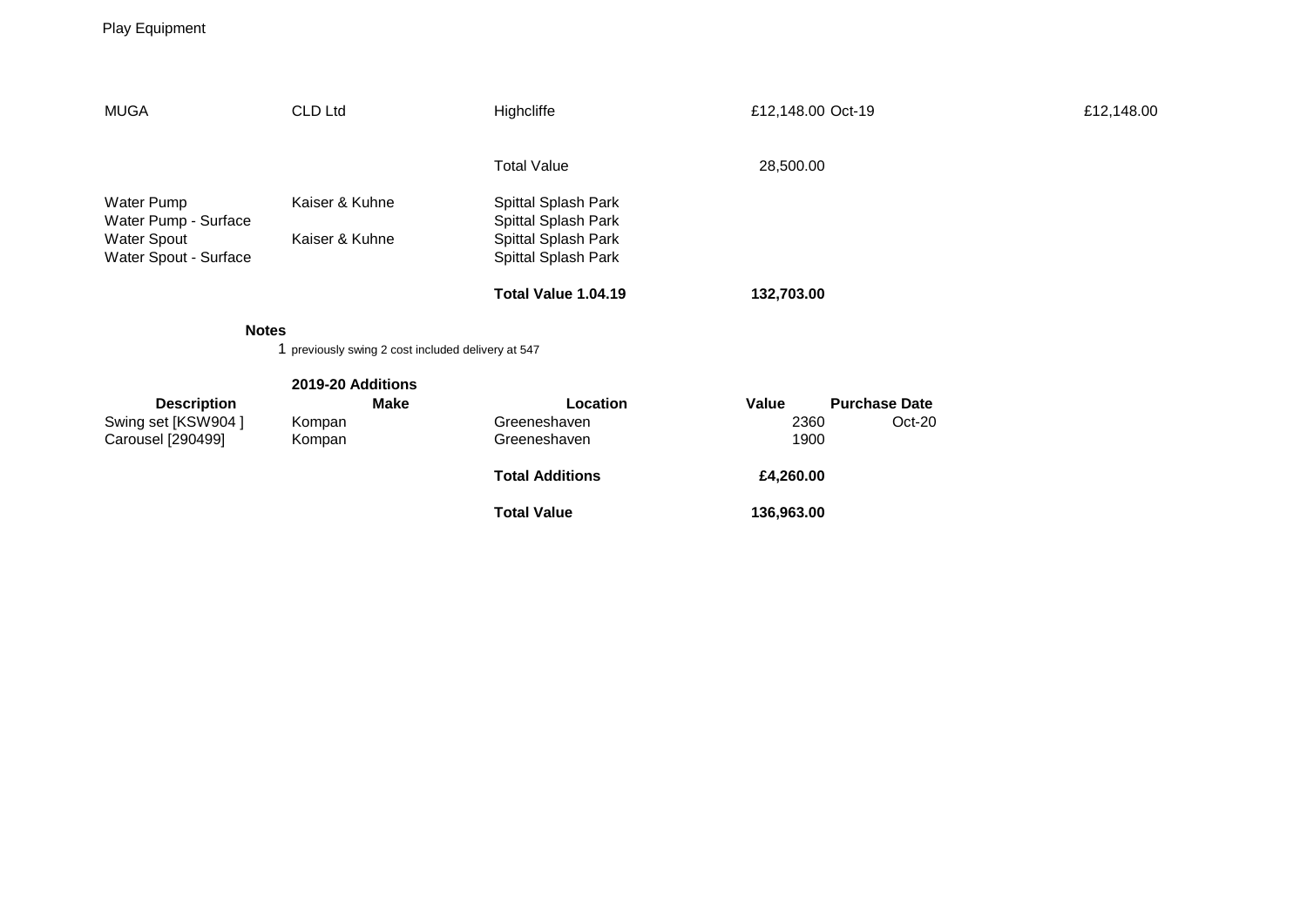#### Play Equipment

| <b>MUGA</b>                                 | CLD Ltd                                            | Highcliffe                                 | £12,148.00 Oct-19             | £12,148.00 |
|---------------------------------------------|----------------------------------------------------|--------------------------------------------|-------------------------------|------------|
|                                             |                                                    | <b>Total Value</b>                         | 28,500.00                     |            |
| Water Pump<br>Water Pump - Surface          | Kaiser & Kuhne                                     | Spittal Splash Park<br>Spittal Splash Park |                               |            |
| <b>Water Spout</b><br>Water Spout - Surface | Kaiser & Kuhne                                     | Spittal Splash Park<br>Spittal Splash Park |                               |            |
|                                             |                                                    | Total Value 1.04.19                        | 132,703.00                    |            |
| <b>Notes</b>                                |                                                    |                                            |                               |            |
|                                             | 1 previously swing 2 cost included delivery at 547 |                                            |                               |            |
|                                             | 2019-20 Additions                                  |                                            |                               |            |
| <b>Description</b>                          | <b>Make</b>                                        | <b>Location</b>                            | <b>Purchase Date</b><br>Value |            |
| Swing set [KSW904]                          | Kompan                                             | Greeneshaven                               | 2360<br>Oct-20                |            |
| Carousel [290499]                           | Kompan                                             | Greeneshaven                               | 1900                          |            |
|                                             |                                                    | <b>Total Additions</b>                     | £4,260.00                     |            |
|                                             |                                                    | <b>Total Value</b>                         | 136,963.00                    |            |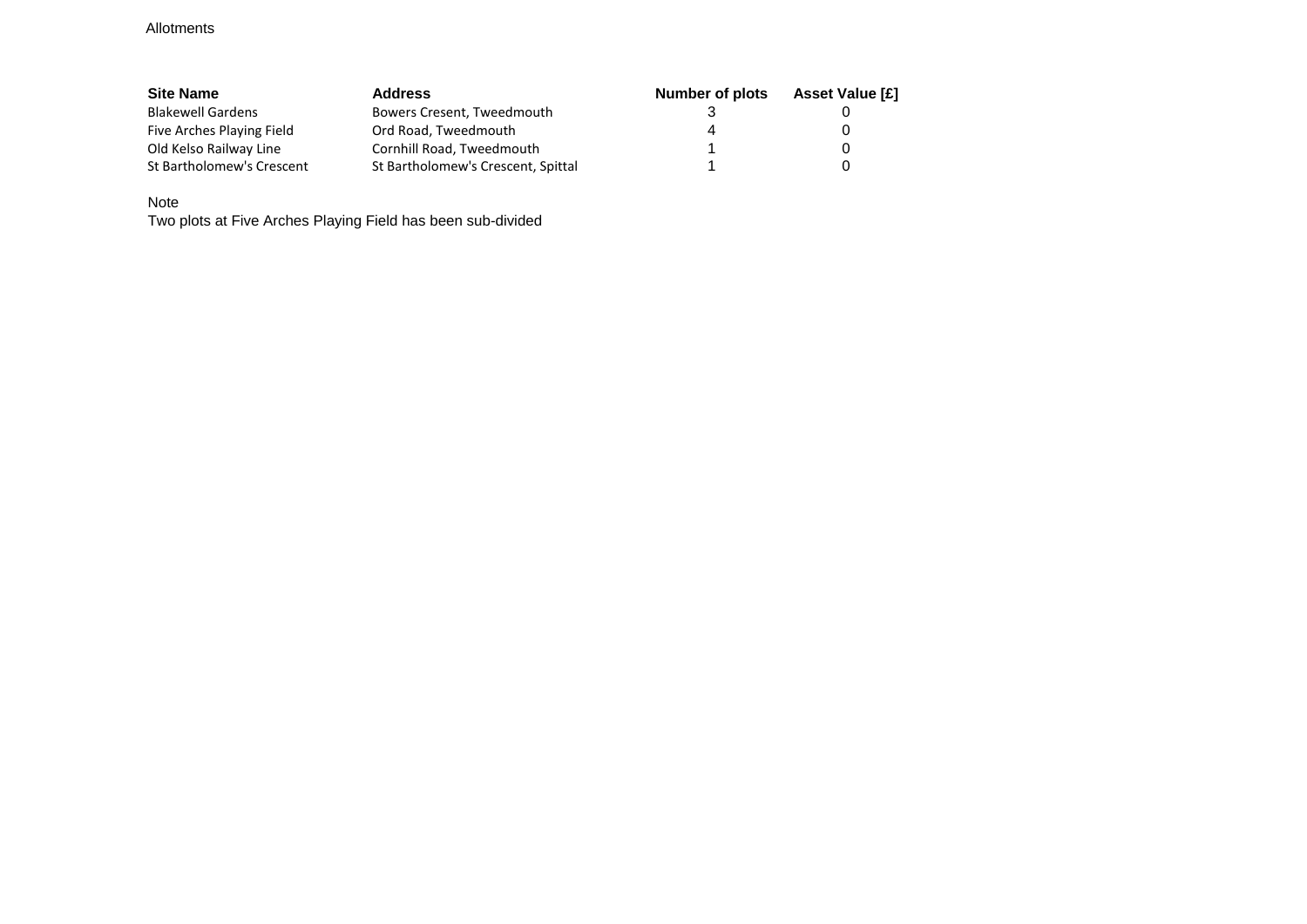Allotments

| <b>Site Name</b>          | <b>Address</b>                     | Number of plots | <b>Asset Value [£]</b> |
|---------------------------|------------------------------------|-----------------|------------------------|
| <b>Blakewell Gardens</b>  | Bowers Cresent, Tweedmouth         |                 |                        |
| Five Arches Playing Field | Ord Road, Tweedmouth               | 4               |                        |
| Old Kelso Railway Line    | Cornhill Road, Tweedmouth          |                 |                        |
| St Bartholomew's Crescent | St Bartholomew's Crescent, Spittal |                 |                        |

Note

Two plots at Five Arches Playing Field has been sub-divided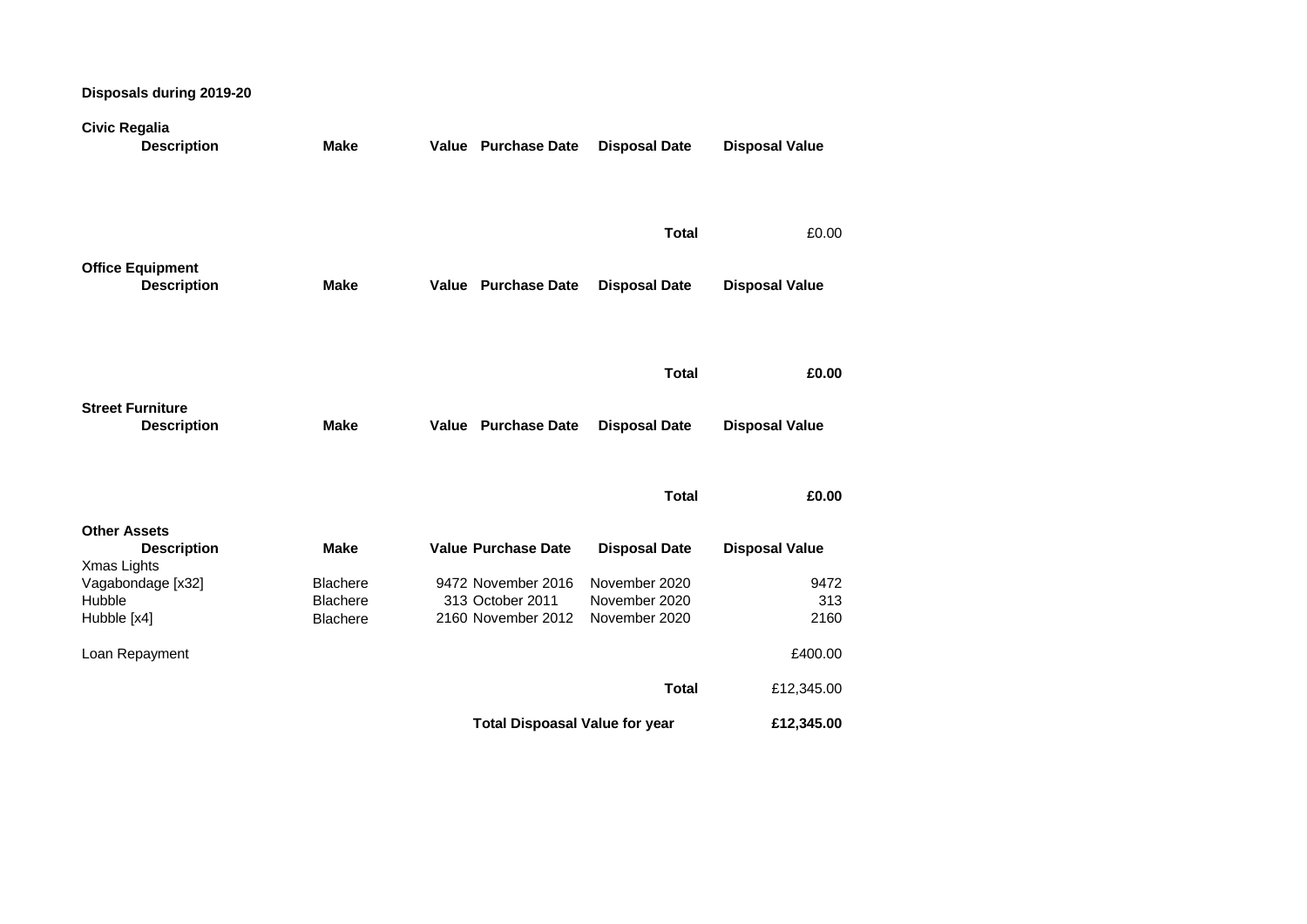| Disposals during 2019-20 |  |  |  |
|--------------------------|--|--|--|
|--------------------------|--|--|--|

| <b>Disposal Date</b><br><b>Disposal Value</b> |
|-----------------------------------------------|
|                                               |
|                                               |
|                                               |
|                                               |
| <b>Total</b><br>£0.00                         |
|                                               |
| <b>Disposal Date</b><br><b>Disposal Value</b> |
|                                               |
|                                               |
|                                               |
|                                               |
| <b>Total</b><br>£0.00                         |
|                                               |
|                                               |
| <b>Disposal Date</b><br><b>Disposal Value</b> |
|                                               |
|                                               |
| <b>Total</b><br>£0.00                         |
|                                               |
|                                               |
| <b>Disposal Date</b><br><b>Disposal Value</b> |
|                                               |
| November 2020<br>9472                         |
| November 2020<br>313<br>November 2020<br>2160 |
|                                               |
| £400.00                                       |
|                                               |
| <b>Total</b><br>£12,345.00                    |
| £12,345.00                                    |
|                                               |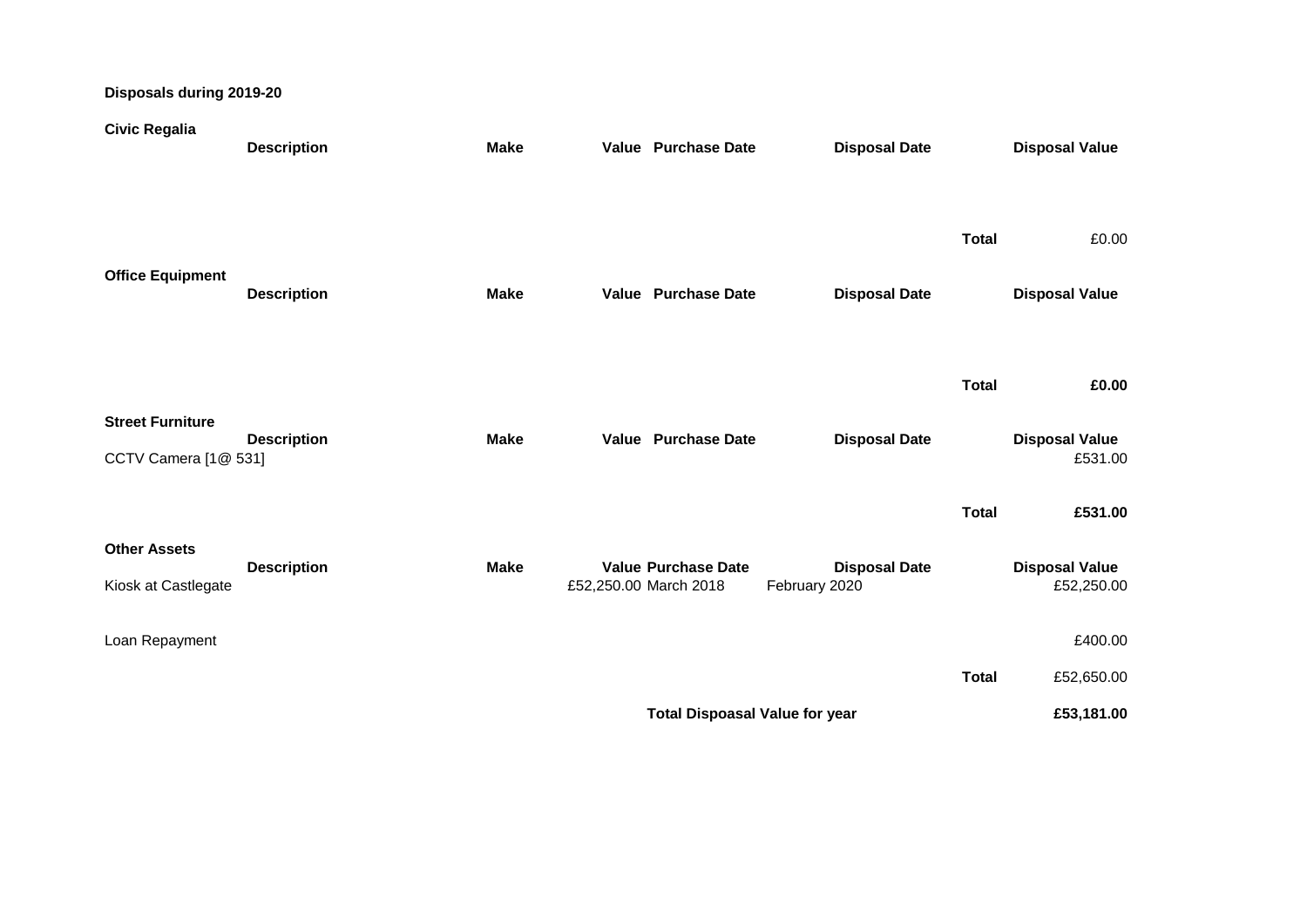# **Disposals during 2019-20**

| <b>Civic Regalia</b>                            | <b>Description</b> | <b>Make</b> | Value Purchase Date                                 | <b>Disposal Date</b>                  |                              | <b>Disposal Value</b>                                |
|-------------------------------------------------|--------------------|-------------|-----------------------------------------------------|---------------------------------------|------------------------------|------------------------------------------------------|
| <b>Office Equipment</b>                         | <b>Description</b> | <b>Make</b> | Value Purchase Date                                 | <b>Disposal Date</b>                  | <b>Total</b>                 | £0.00<br><b>Disposal Value</b>                       |
| <b>Street Furniture</b><br>CCTV Camera [1@ 531] | <b>Description</b> | <b>Make</b> | Value Purchase Date                                 | <b>Disposal Date</b>                  | <b>Total</b><br><b>Total</b> | £0.00<br><b>Disposal Value</b><br>£531.00<br>£531.00 |
| <b>Other Assets</b><br>Kiosk at Castlegate      | <b>Description</b> | <b>Make</b> | <b>Value Purchase Date</b><br>£52,250.00 March 2018 | <b>Disposal Date</b><br>February 2020 |                              | <b>Disposal Value</b><br>£52,250.00                  |
| Loan Repayment                                  |                    |             |                                                     |                                       |                              | £400.00                                              |
|                                                 |                    |             |                                                     |                                       | <b>Total</b>                 | £52,650.00                                           |
|                                                 |                    |             | <b>Total Dispoasal Value for year</b>               |                                       |                              | £53,181.00                                           |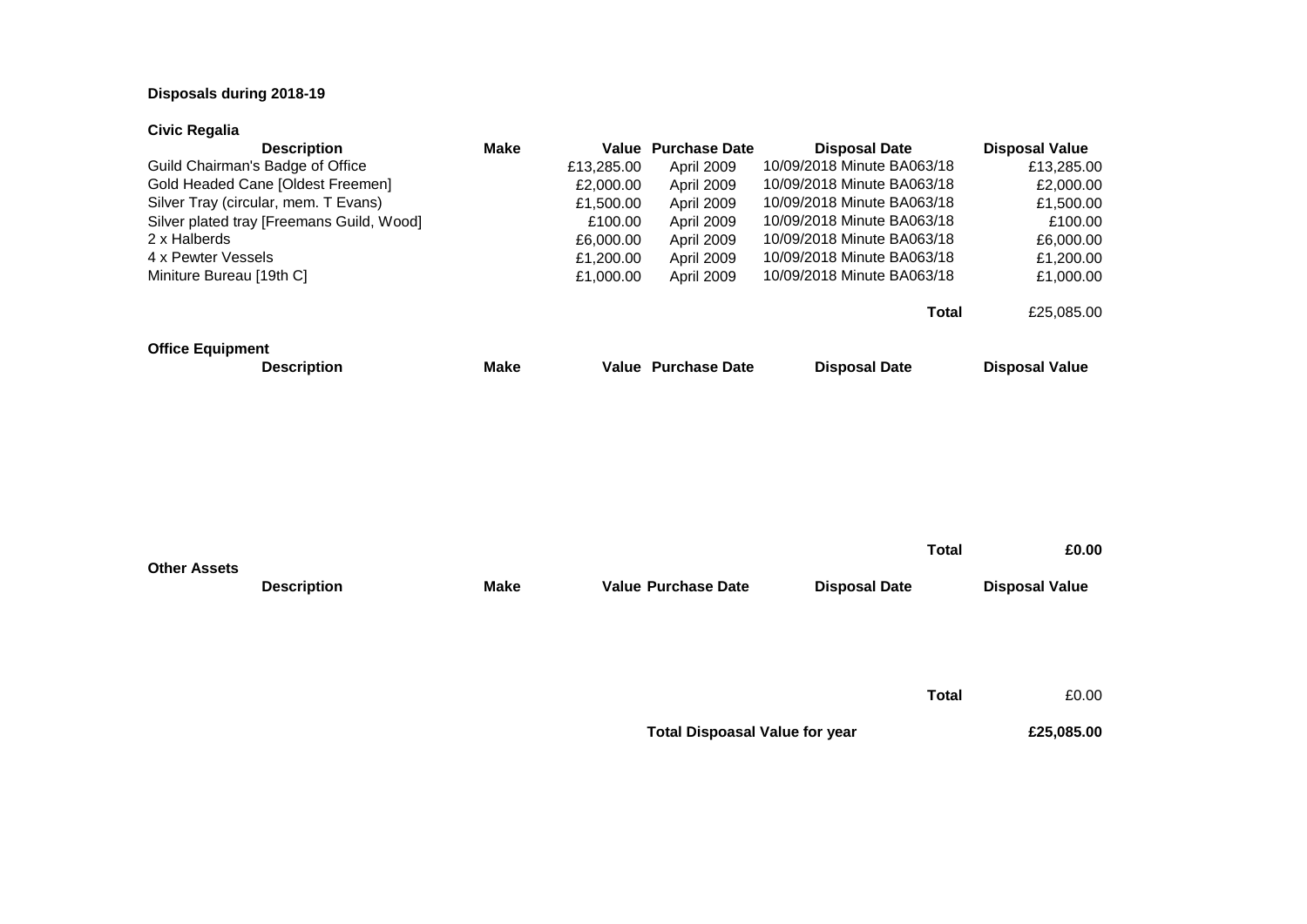## **Disposals during 2018-19**

#### **Civic Regalia**

| 2 x Halberds<br>4 x Pewter Vessels<br>Miniture Bureau [19th C] | <b>Description</b><br>Guild Chairman's Badge of Office<br>Gold Headed Cane [Oldest Freemen]<br>Silver Tray (circular, mem. T Evans)<br>Silver plated tray [Freemans Guild, Wood] | <b>Make</b> | £13,285.00<br>£2,000.00<br>£1,500.00<br>£100.00<br>£6,000.00<br>£1,200.00<br>£1,000.00 | <b>Value Purchase Date</b><br>April 2009<br>April 2009<br>April 2009<br>April 2009<br>April 2009<br>April 2009<br>April 2009 | <b>Disposal Date</b><br>10/09/2018 Minute BA063/18<br>10/09/2018 Minute BA063/18<br>10/09/2018 Minute BA063/18<br>10/09/2018 Minute BA063/18<br>10/09/2018 Minute BA063/18<br>10/09/2018 Minute BA063/18<br>10/09/2018 Minute BA063/18 | <b>Disposal Value</b><br>£13,285.00<br>£2,000.00<br>£1,500.00<br>£100.00<br>£6,000.00<br>£1,200.00<br>£1,000.00 |
|----------------------------------------------------------------|----------------------------------------------------------------------------------------------------------------------------------------------------------------------------------|-------------|----------------------------------------------------------------------------------------|------------------------------------------------------------------------------------------------------------------------------|----------------------------------------------------------------------------------------------------------------------------------------------------------------------------------------------------------------------------------------|-----------------------------------------------------------------------------------------------------------------|
| <b>Office Equipment</b>                                        | <b>Description</b>                                                                                                                                                               | <b>Make</b> |                                                                                        | <b>Value Purchase Date</b>                                                                                                   | <b>Total</b><br><b>Disposal Date</b>                                                                                                                                                                                                   | £25,085.00<br><b>Disposal Value</b>                                                                             |
| <b>Other Assets</b>                                            | <b>Description</b>                                                                                                                                                               | <b>Make</b> |                                                                                        | <b>Value Purchase Date</b>                                                                                                   | <b>Total</b><br><b>Disposal Date</b>                                                                                                                                                                                                   | £0.00<br><b>Disposal Value</b>                                                                                  |
|                                                                |                                                                                                                                                                                  |             |                                                                                        | <b>Total Dispoasal Value for year</b>                                                                                        | <b>Total</b>                                                                                                                                                                                                                           | £0.00<br>£25,085.00                                                                                             |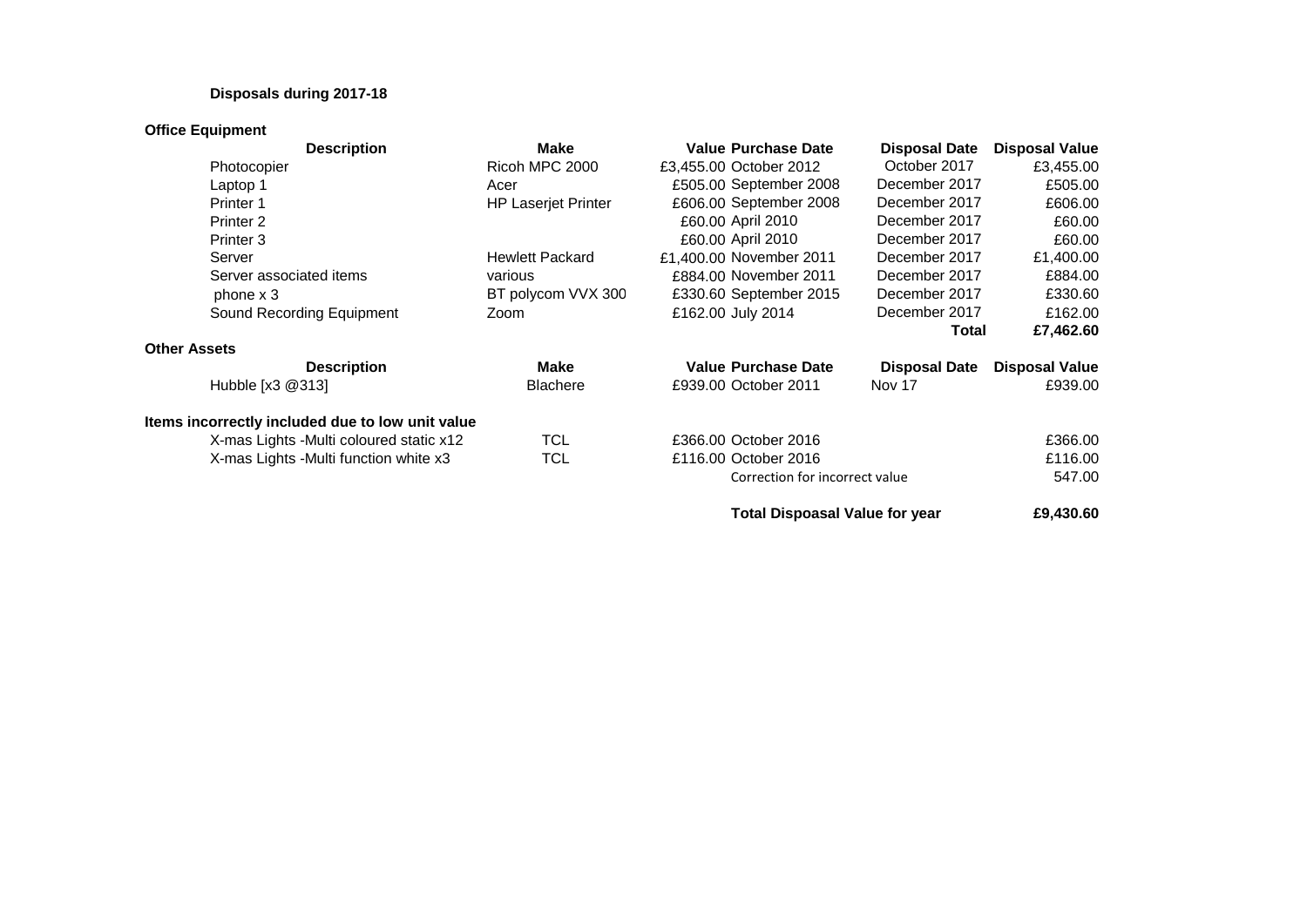## **Disposals during 2017-18**

## **Office Equipment**

| <b>Description</b>                               | Make                       | <b>Value Purchase Date</b>            | <b>Disposal Date</b> | <b>Disposal Value</b> |
|--------------------------------------------------|----------------------------|---------------------------------------|----------------------|-----------------------|
| Photocopier                                      | Ricoh MPC 2000             | £3,455.00 October 2012                | October 2017         | £3,455.00             |
| Laptop 1                                         | Acer                       | £505.00 September 2008                | December 2017        | £505.00               |
| Printer 1                                        | <b>HP Laserjet Printer</b> | £606.00 September 2008                | December 2017        | £606.00               |
| Printer <sub>2</sub>                             |                            | £60.00 April 2010                     | December 2017        | £60.00                |
| Printer 3                                        |                            | £60.00 April 2010                     | December 2017        | £60.00                |
| Server                                           | <b>Hewlett Packard</b>     | £1,400.00 November 2011               | December 2017        | £1,400.00             |
| Server associated items                          | various                    | £884.00 November 2011                 | December 2017        | £884.00               |
| phone $\times$ 3                                 | BT polycom VVX 300         | £330.60 September 2015                | December 2017        | £330.60               |
| Sound Recording Equipment                        | Zoom                       | £162.00 July 2014                     | December 2017        | £162.00               |
|                                                  |                            |                                       | Total                | £7,462.60             |
| Other Assets                                     |                            |                                       |                      |                       |
| <b>Description</b>                               | <b>Make</b>                | <b>Value Purchase Date</b>            | <b>Disposal Date</b> | <b>Disposal Value</b> |
| Hubble [x3 @313]                                 | <b>Blachere</b>            | £939.00 October 2011                  | <b>Nov 17</b>        | £939.00               |
| Items incorrectly included due to low unit value |                            |                                       |                      |                       |
| X-mas Lights -Multi coloured static x12          | <b>TCL</b>                 | £366.00 October 2016                  |                      | £366.00               |
| X-mas Lights -Multi function white x3            | <b>TCL</b>                 | £116.00 October 2016                  |                      | £116.00               |
|                                                  |                            | Correction for incorrect value        |                      | 547.00                |
|                                                  |                            | <b>Total Dispoasal Value for year</b> |                      | £9,430.60             |